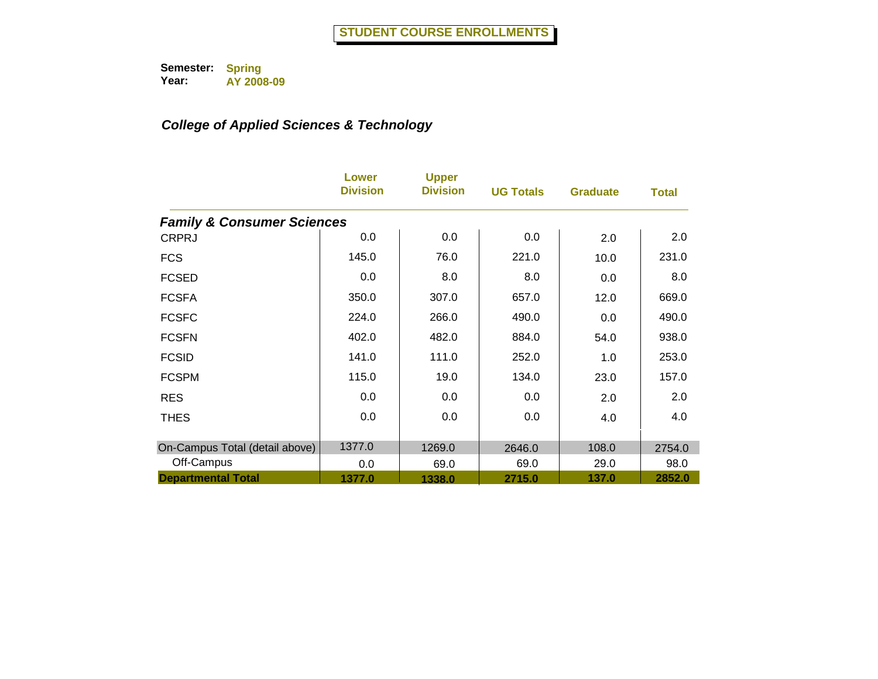|                                       | Lower<br><b>Division</b> | <b>Upper</b><br><b>Division</b> | <b>UG Totals</b> | <b>Graduate</b> | <b>Total</b> |
|---------------------------------------|--------------------------|---------------------------------|------------------|-----------------|--------------|
| <b>Family &amp; Consumer Sciences</b> |                          |                                 |                  |                 |              |
| <b>CRPRJ</b>                          | 0.0                      | 0.0                             | 0.0              | 2.0             | 2.0          |
| <b>FCS</b>                            | 145.0                    | 76.0                            | 221.0            | 10.0            | 231.0        |
| <b>FCSED</b>                          | 0.0                      | 8.0                             | 8.0              | 0.0             | 8.0          |
| <b>FCSFA</b>                          | 350.0                    | 307.0                           | 657.0            | 12.0            | 669.0        |
| <b>FCSFC</b>                          | 224.0                    | 266.0                           | 490.0            | 0.0             | 490.0        |
| <b>FCSFN</b>                          | 402.0                    | 482.0                           | 884.0            | 54.0            | 938.0        |
| <b>FCSID</b>                          | 141.0                    | 111.0                           | 252.0            | 1.0             | 253.0        |
| <b>FCSPM</b>                          | 115.0                    | 19.0                            | 134.0            | 23.0            | 157.0        |
| <b>RES</b>                            | 0.0                      | 0.0                             | 0.0              | 2.0             | 2.0          |
| <b>THES</b>                           | 0.0                      | 0.0                             | 0.0              | 4.0             | 4.0          |
| On-Campus Total (detail above)        | 1377.0                   | 1269.0                          | 2646.0           | 108.0           | 2754.0       |
| Off-Campus                            | 0.0                      | 69.0                            | 69.0             | 29.0            | 98.0         |
| <b>Departmental Total</b>             | 1377.0                   | 1338.0                          | 2715.0           | 137.0           | 2852.0       |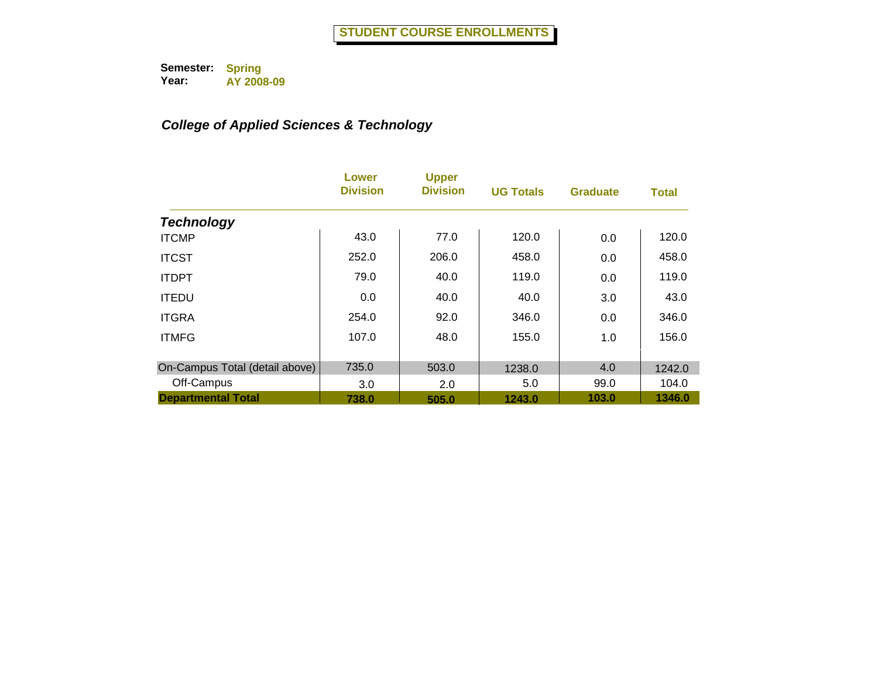|                                | Lower<br><b>Division</b> | <b>Upper</b><br><b>Division</b> | <b>UG Totals</b> | <b>Graduate</b> | <b>Total</b> |
|--------------------------------|--------------------------|---------------------------------|------------------|-----------------|--------------|
| <b>Technology</b>              |                          |                                 |                  |                 |              |
| <b>ITCMP</b>                   | 43.0                     | 77.0                            | 120.0            | 0.0             | 120.0        |
| <b>ITCST</b>                   | 252.0                    | 206.0                           | 458.0            | 0.0             | 458.0        |
| <b>ITDPT</b>                   | 79.0                     | 40.0                            | 119.0            | 0.0             | 119.0        |
| <b>ITEDU</b>                   | 0.0                      | 40.0                            | 40.0             | 3.0             | 43.0         |
| <b>ITGRA</b>                   | 254.0                    | 92.0                            | 346.0            | 0.0             | 346.0        |
| <b>ITMFG</b>                   | 107.0                    | 48.0                            | 155.0            | 1.0             | 156.0        |
| On-Campus Total (detail above) | 735.0                    | 503.0                           | 1238.0           | 4.0             | 1242.0       |
| Off-Campus                     | 3.0                      | 2.0                             | 5.0              | 99.0            | 104.0        |
| <b>Departmental Total</b>      | 738.0                    | 505.0                           | 1243.0           | 103.0           | 1346.0       |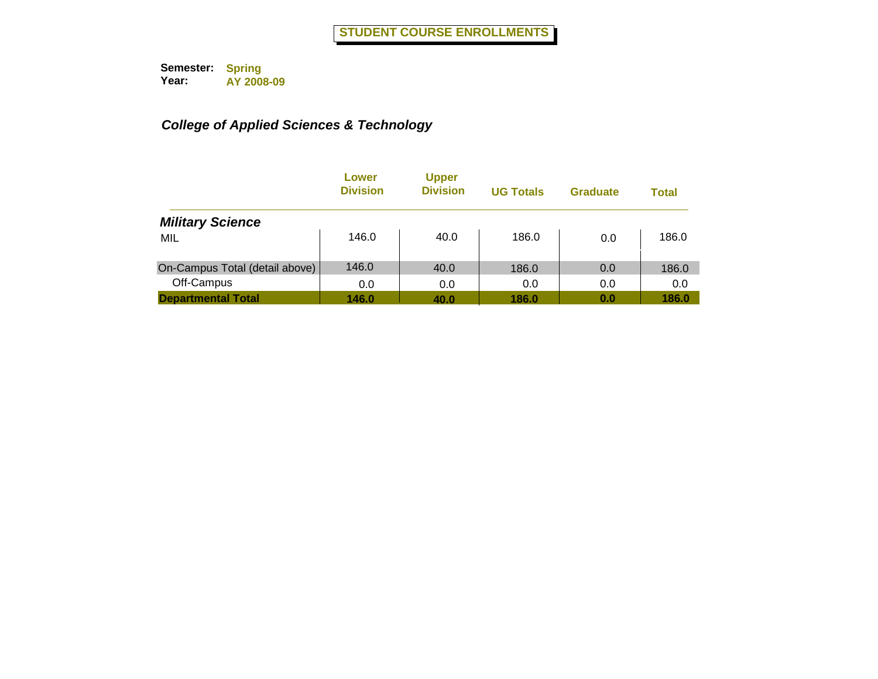|                                | Lower<br><b>Division</b> | <b>Upper</b><br><b>Division</b> | <b>UG Totals</b> | <b>Graduate</b> | Total |
|--------------------------------|--------------------------|---------------------------------|------------------|-----------------|-------|
| <b>Military Science</b>        |                          |                                 |                  |                 |       |
| MIL                            | 146.0                    | 40.0                            | 186.0            | 0.0             | 186.0 |
| On-Campus Total (detail above) | 146.0                    | 40.0                            | 186.0            | 0.0             | 186.0 |
| Off-Campus                     | 0.0                      | 0.0                             | 0.0              | 0.0             | 0.0   |
| <b>Departmental Total</b>      | 146.0                    | 40.0                            | 186.0            | 0.0             | 186.0 |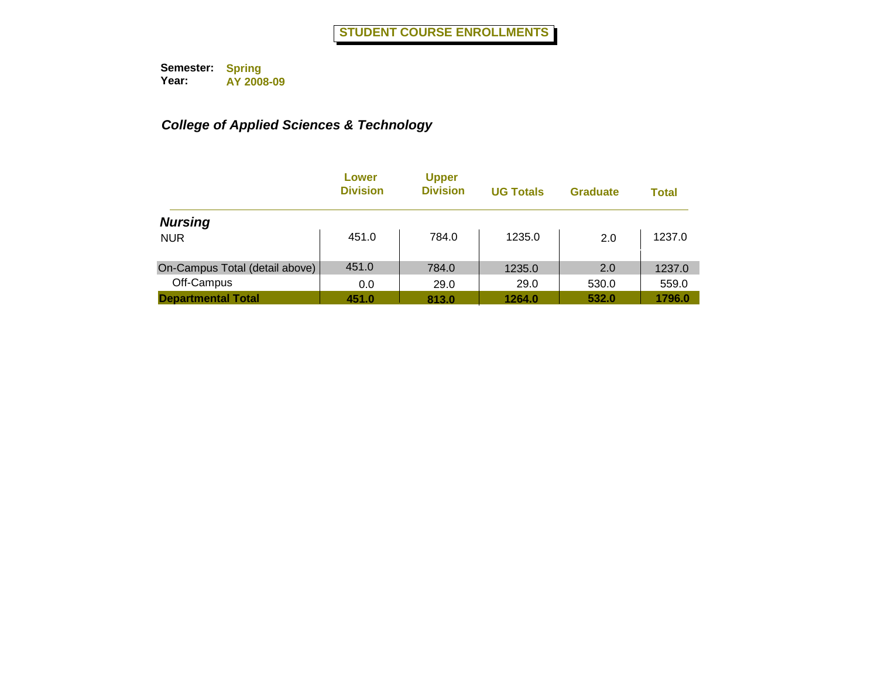|                                | Lower<br><b>Division</b> | <b>Upper</b><br><b>Division</b> | <b>UG Totals</b> | <b>Graduate</b> | <b>Total</b> |
|--------------------------------|--------------------------|---------------------------------|------------------|-----------------|--------------|
| <b>Nursing</b>                 |                          |                                 |                  |                 |              |
| <b>NUR</b>                     | 451.0                    | 784.0                           | 1235.0           | 2.0             | 1237.0       |
| On-Campus Total (detail above) | 451.0                    | 784.0                           | 1235.0           | 2.0             | 1237.0       |
| Off-Campus                     | 0.0                      | 29.0                            | 29.0             | 530.0           | 559.0        |
| <b>Departmental Total</b>      | 451.0                    | 813.0                           | 1264.0           | 532.0           | 1796.0       |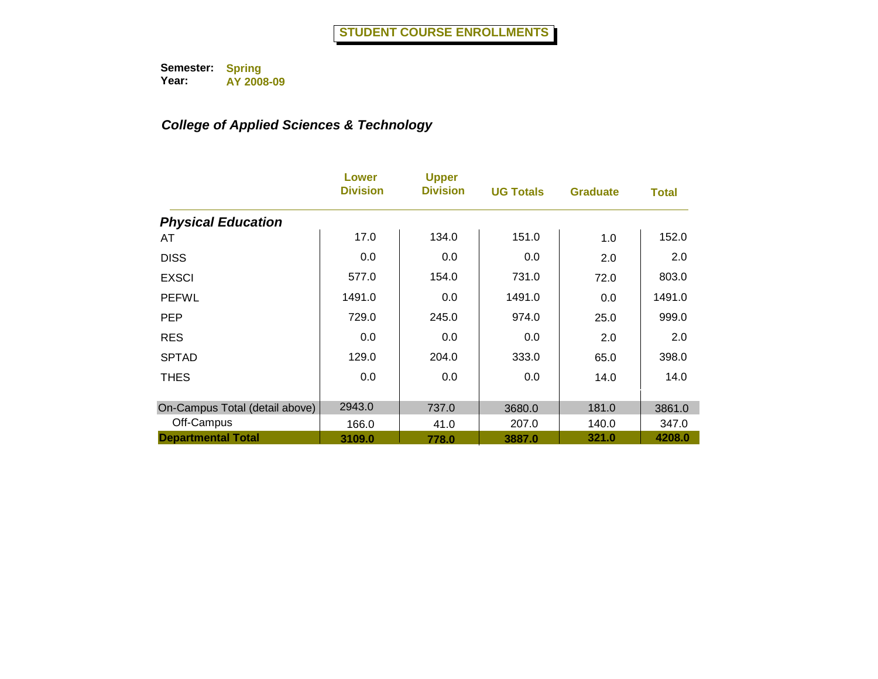|                                | Lower<br><b>Division</b> | <b>Upper</b><br><b>Division</b> | <b>UG Totals</b> | <b>Graduate</b> | <b>Total</b> |
|--------------------------------|--------------------------|---------------------------------|------------------|-----------------|--------------|
| <b>Physical Education</b>      |                          |                                 |                  |                 |              |
| AT                             | 17.0                     | 134.0                           | 151.0            | 1.0             | 152.0        |
| <b>DISS</b>                    | 0.0                      | 0.0                             | 0.0              | 2.0             | 2.0          |
| <b>EXSCI</b>                   | 577.0                    | 154.0                           | 731.0            | 72.0            | 803.0        |
| <b>PEFWL</b>                   | 1491.0                   | 0.0                             | 1491.0           | 0.0             | 1491.0       |
| <b>PEP</b>                     | 729.0                    | 245.0                           | 974.0            | 25.0            | 999.0        |
| <b>RES</b>                     | 0.0                      | 0.0                             | 0.0              | 2.0             | 2.0          |
| <b>SPTAD</b>                   | 129.0                    | 204.0                           | 333.0            | 65.0            | 398.0        |
| <b>THES</b>                    | 0.0                      | 0.0                             | 0.0              | 14.0            | 14.0         |
| On-Campus Total (detail above) | 2943.0                   | 737.0                           | 3680.0           | 181.0           | 3861.0       |
| Off-Campus                     | 166.0                    | 41.0                            | 207.0            | 140.0           | 347.0        |
| <b>Departmental Total</b>      | 3109.0                   | 778.0                           | 3887.0           | 321.0           | 4208.0       |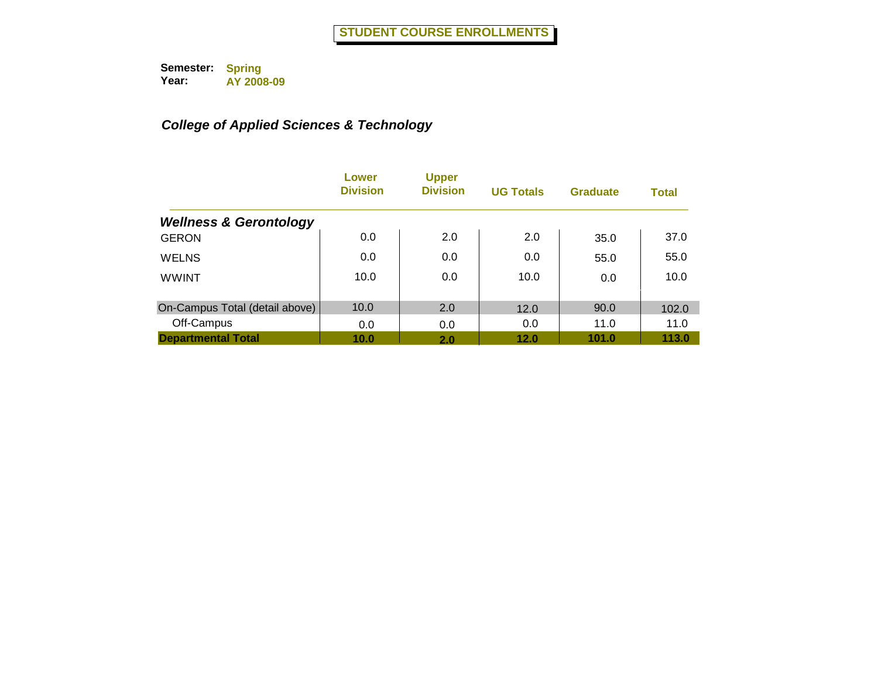|                                   | Lower<br><b>Division</b> | <b>Upper</b><br><b>Division</b> | <b>UG Totals</b> | <b>Graduate</b> | <b>Total</b> |
|-----------------------------------|--------------------------|---------------------------------|------------------|-----------------|--------------|
| <b>Wellness &amp; Gerontology</b> |                          |                                 |                  |                 |              |
| <b>GERON</b>                      | 0.0                      | 2.0                             | 2.0              | 35.0            | 37.0         |
| <b>WELNS</b>                      | 0.0                      | 0.0                             | 0.0              | 55.0            | 55.0         |
| <b>WWINT</b>                      | 10.0                     | 0.0                             | 10.0             | 0.0             | 10.0         |
| On-Campus Total (detail above)    | 10.0                     | 2.0                             | 12.0             | 90.0            | 102.0        |
| Off-Campus                        | 0.0                      | 0.0                             | 0.0              | 11.0            | 11.0         |
| <b>Departmental Total</b>         | 10.0                     | 2.0                             | 12.0             | 101.0           | 113.0        |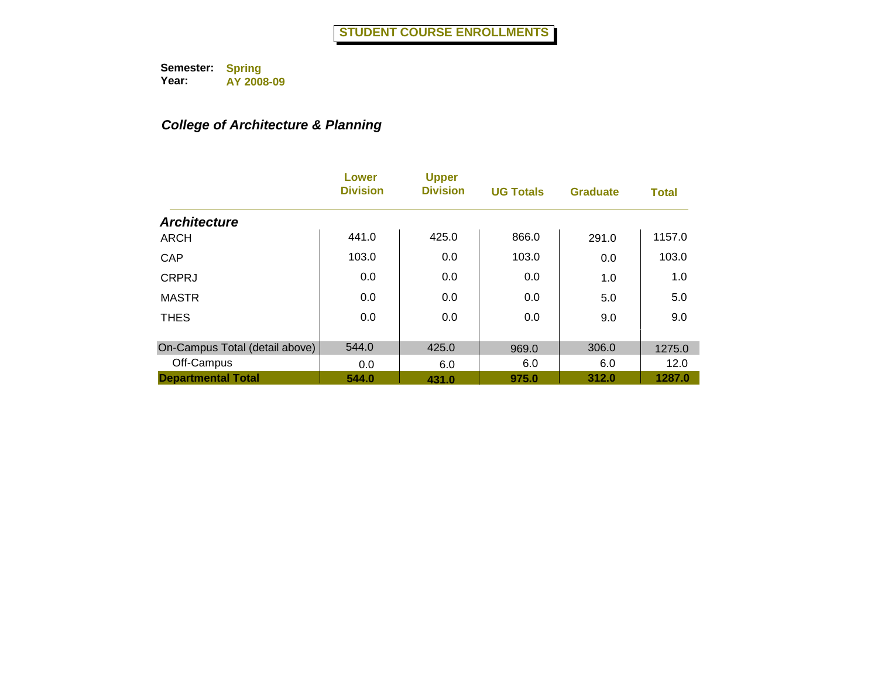## *College of Architecture & Planning*

|                                | Lower<br><b>Division</b> | <b>Upper</b><br><b>Division</b> | <b>UG Totals</b> | <b>Graduate</b> | <b>Total</b> |
|--------------------------------|--------------------------|---------------------------------|------------------|-----------------|--------------|
| <b>Architecture</b>            |                          |                                 |                  |                 |              |
| <b>ARCH</b>                    | 441.0                    | 425.0                           | 866.0            | 291.0           | 1157.0       |
| CAP                            | 103.0                    | 0.0                             | 103.0            | 0.0             | 103.0        |
| <b>CRPRJ</b>                   | 0.0                      | 0.0                             | 0.0              | 1.0             | 1.0          |
| <b>MASTR</b>                   | 0.0                      | 0.0                             | 0.0              | 5.0             | 5.0          |
| <b>THES</b>                    | 0.0                      | 0.0                             | 0.0              | 9.0             | 9.0          |
| On-Campus Total (detail above) | 544.0                    | 425.0                           | 969.0            | 306.0           | 1275.0       |
| Off-Campus                     | 0.0                      | 6.0                             | 6.0              | 6.0             | 12.0         |
| <b>Departmental Total</b>      | 544.0                    | 431.0                           | 975.0            | 312.0           | 1287.0       |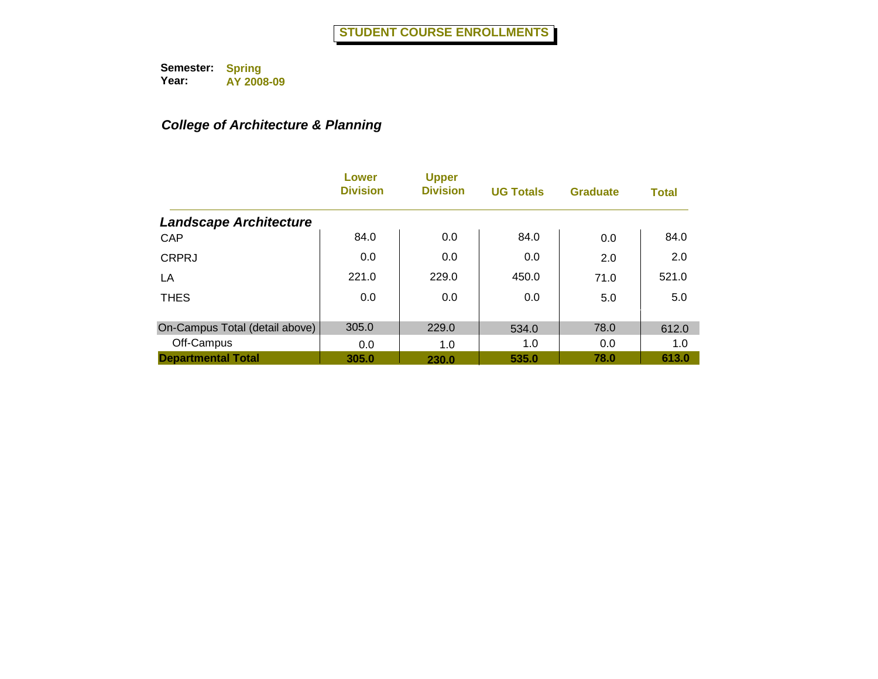## *College of Architecture & Planning*

|                                | Lower<br><b>Division</b> | <b>Upper</b><br><b>Division</b> | <b>UG Totals</b> | <b>Graduate</b> | <b>Total</b> |
|--------------------------------|--------------------------|---------------------------------|------------------|-----------------|--------------|
| <b>Landscape Architecture</b>  |                          |                                 |                  |                 |              |
| CAP                            | 84.0                     | 0.0                             | 84.0             | 0.0             | 84.0         |
| <b>CRPRJ</b>                   | 0.0                      | 0.0                             | 0.0              | 2.0             | 2.0          |
| LA                             | 221.0                    | 229.0                           | 450.0            | 71.0            | 521.0        |
| <b>THES</b>                    | 0.0                      | 0.0                             | 0.0              | 5.0             | 5.0          |
| On-Campus Total (detail above) | 305.0                    | 229.0                           | 534.0            | 78.0            | 612.0        |
| Off-Campus                     | 0.0                      | 1.0                             | 1.0              | 0.0             | 1.0          |
| <b>Departmental Total</b>      | 305.0                    | 230.0                           | 535.0            | 78.0            | 613.0        |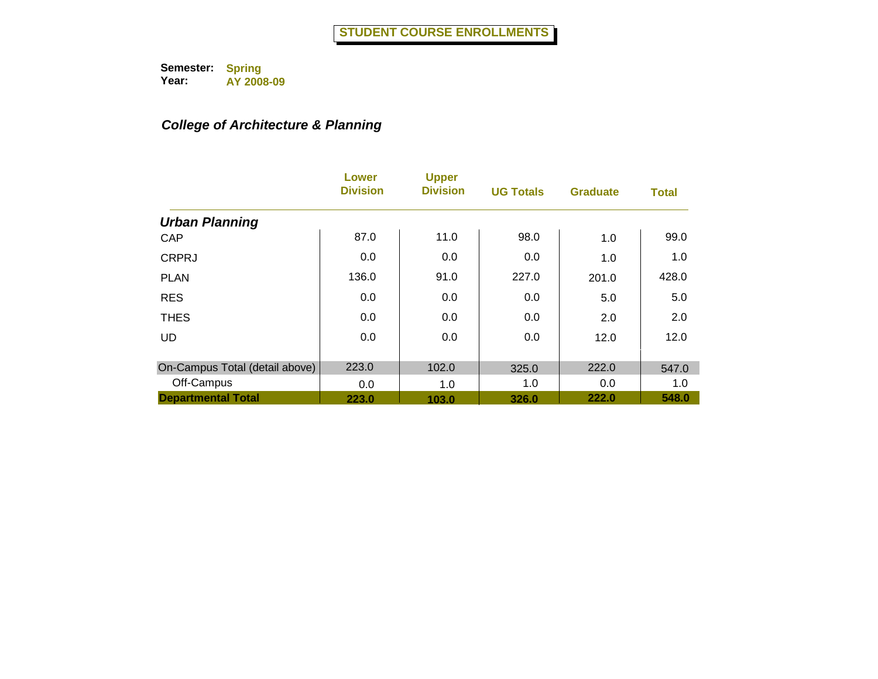## *College of Architecture & Planning*

|                                | Lower<br><b>Division</b> | <b>Upper</b><br><b>Division</b> | <b>UG Totals</b> | <b>Graduate</b> | <b>Total</b> |
|--------------------------------|--------------------------|---------------------------------|------------------|-----------------|--------------|
| <b>Urban Planning</b>          |                          |                                 |                  |                 |              |
| CAP                            | 87.0                     | 11.0                            | 98.0             | 1.0             | 99.0         |
| <b>CRPRJ</b>                   | 0.0                      | 0.0                             | 0.0              | 1.0             | 1.0          |
| <b>PLAN</b>                    | 136.0                    | 91.0                            | 227.0            | 201.0           | 428.0        |
| <b>RES</b>                     | 0.0                      | 0.0                             | 0.0              | 5.0             | 5.0          |
| <b>THES</b>                    | 0.0                      | 0.0                             | 0.0              | 2.0             | 2.0          |
| <b>UD</b>                      | 0.0                      | 0.0                             | 0.0              | 12.0            | 12.0         |
| On-Campus Total (detail above) | 223.0                    | 102.0                           | 325.0            | 222.0           | 547.0        |
| Off-Campus                     | 0.0                      | 1.0                             | 1.0              | 0.0             | 1.0          |
| <b>Departmental Total</b>      | 223.0                    | 103.0                           | 326.0            | 222.0           | 548.0        |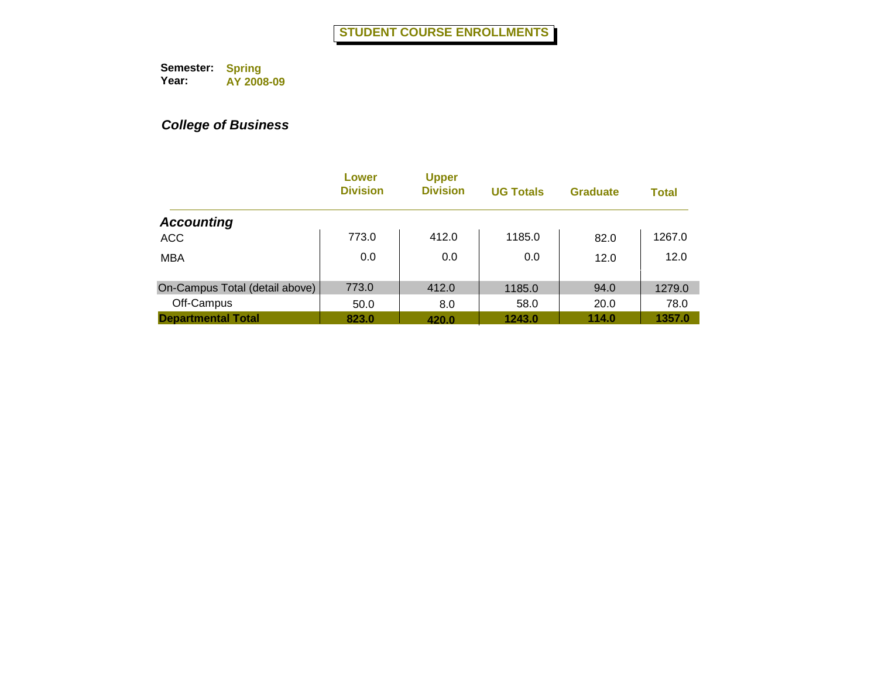|                                | Lower<br><b>Division</b> | <b>Upper</b><br><b>Division</b> | <b>UG Totals</b> | <b>Graduate</b> | <b>Total</b> |
|--------------------------------|--------------------------|---------------------------------|------------------|-----------------|--------------|
| <b>Accounting</b>              |                          |                                 |                  |                 |              |
| <b>ACC</b>                     | 773.0                    | 412.0                           | 1185.0           | 82.0            | 1267.0       |
| <b>MBA</b>                     | 0.0                      | 0.0                             | 0.0              | 12.0            | 12.0         |
| On-Campus Total (detail above) | 773.0                    | 412.0                           | 1185.0           | 94.0            | 1279.0       |
| Off-Campus                     | 50.0                     | 8.0                             | 58.0             | 20.0            | 78.0         |
| <b>Departmental Total</b>      | 823.0                    | 420.0                           | 1243.0           | 114.0           | 1357.0       |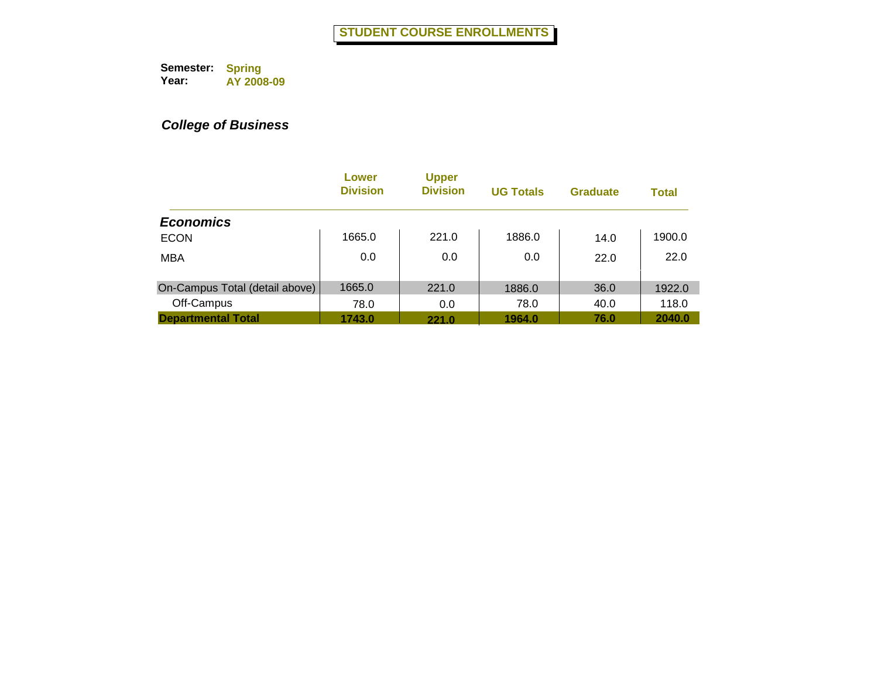|                                | Lower<br><b>Division</b> | <b>Upper</b><br><b>Division</b> | <b>UG Totals</b> | <b>Graduate</b> | <b>Total</b> |
|--------------------------------|--------------------------|---------------------------------|------------------|-----------------|--------------|
| <b>Economics</b>               |                          |                                 |                  |                 |              |
| <b>ECON</b>                    | 1665.0                   | 221.0                           | 1886.0           | 14.0            | 1900.0       |
| <b>MBA</b>                     | 0.0                      | 0.0                             | 0.0              | 22.0            | 22.0         |
| On-Campus Total (detail above) | 1665.0                   | 221.0                           | 1886.0           | 36.0            | 1922.0       |
| Off-Campus                     | 78.0                     | 0.0                             | 78.0             | 40.0            | 118.0        |
| <b>Departmental Total</b>      | 1743.0                   | 221.0                           | 1964.0           | 76.0            | 2040.0       |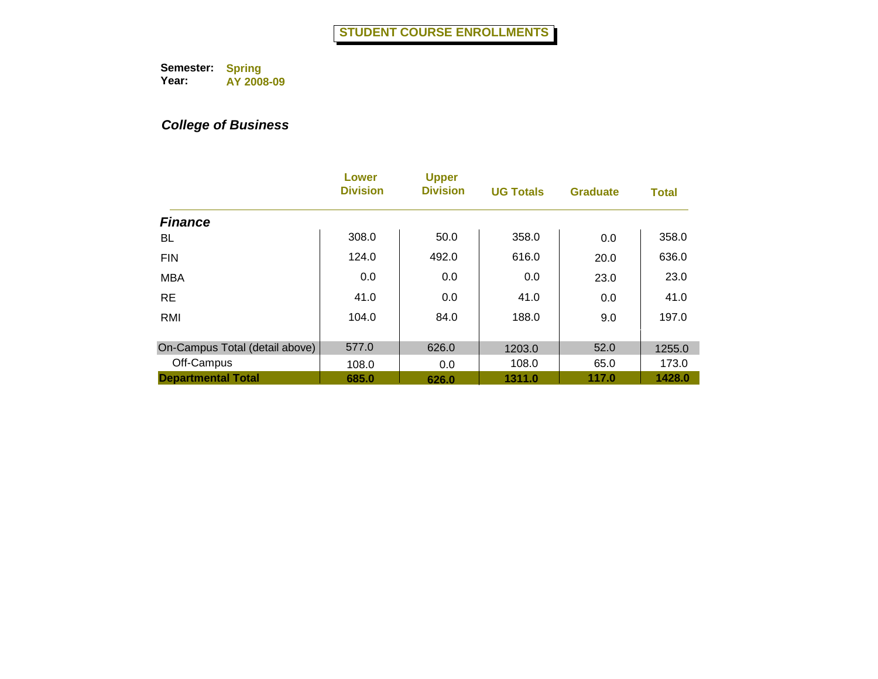|                                | Lower<br><b>Division</b> | <b>Upper</b><br><b>Division</b> | <b>UG Totals</b> | <b>Graduate</b> | <b>Total</b> |
|--------------------------------|--------------------------|---------------------------------|------------------|-----------------|--------------|
| <b>Finance</b>                 |                          |                                 |                  |                 |              |
| BL.                            | 308.0                    | 50.0                            | 358.0            | 0.0             | 358.0        |
| <b>FIN</b>                     | 124.0                    | 492.0                           | 616.0            | 20.0            | 636.0        |
| <b>MBA</b>                     | 0.0                      | 0.0                             | 0.0              | 23.0            | 23.0         |
| <b>RE</b>                      | 41.0                     | 0.0                             | 41.0             | 0.0             | 41.0         |
| RMI                            | 104.0                    | 84.0                            | 188.0            | 9.0             | 197.0        |
| On-Campus Total (detail above) | 577.0                    | 626.0                           | 1203.0           | 52.0            | 1255.0       |
| Off-Campus                     | 108.0                    | 0.0                             | 108.0            | 65.0            | 173.0        |
| <b>Departmental Total</b>      | 685.0                    | 626.0                           | 1311.0           | 117.0           | 1428.0       |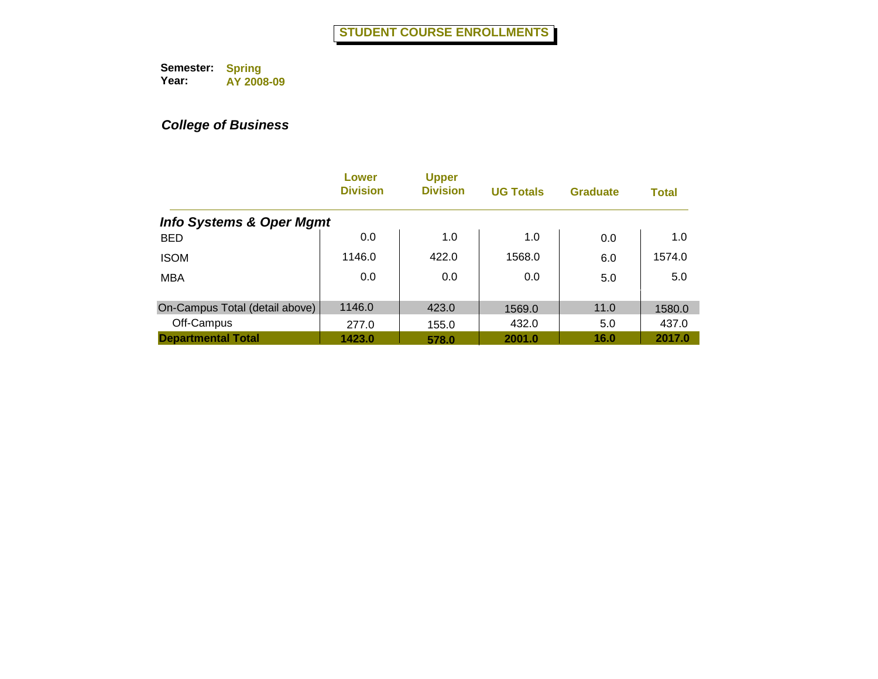|                                     | Lower<br><b>Division</b> | <b>Upper</b><br><b>Division</b> | <b>UG Totals</b> | <b>Graduate</b> | <b>Total</b> |
|-------------------------------------|--------------------------|---------------------------------|------------------|-----------------|--------------|
| <b>Info Systems &amp; Oper Mgmt</b> |                          |                                 |                  |                 |              |
| <b>BED</b>                          | 0.0                      | 1.0                             | 1.0              | 0.0             | 1.0          |
| <b>ISOM</b>                         | 1146.0                   | 422.0                           | 1568.0           | 6.0             | 1574.0       |
| <b>MBA</b>                          | 0.0                      | 0.0                             | 0.0              | 5.0             | 5.0          |
| On-Campus Total (detail above)      | 1146.0                   | 423.0                           | 1569.0           | 11.0            | 1580.0       |
| Off-Campus                          | 277.0                    | 155.0                           | 432.0            | 5.0             | 437.0        |
| <b>Departmental Total</b>           | 1423.0                   | 578.0                           | 2001.0           | 16.0            | 2017.0       |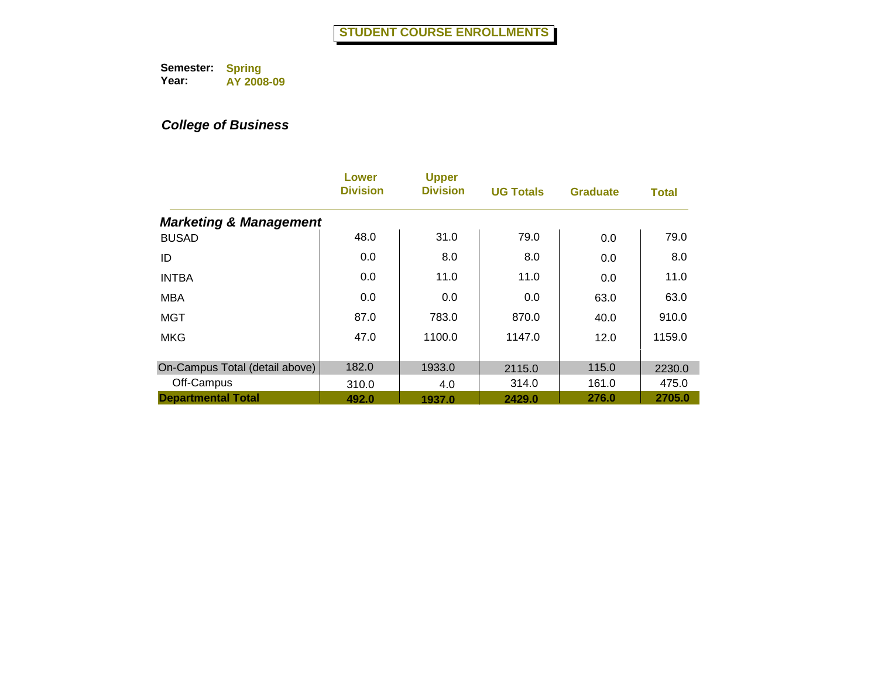|                                   | Lower<br><b>Division</b> | <b>Upper</b><br><b>Division</b> | <b>UG Totals</b> | <b>Graduate</b> | <b>Total</b> |
|-----------------------------------|--------------------------|---------------------------------|------------------|-----------------|--------------|
| <b>Marketing &amp; Management</b> |                          |                                 |                  |                 |              |
| <b>BUSAD</b>                      | 48.0                     | 31.0                            | 79.0             | 0.0             | 79.0         |
| ID                                | 0.0                      | 8.0                             | 8.0              | 0.0             | 8.0          |
| <b>INTBA</b>                      | 0.0                      | 11.0                            | 11.0             | 0.0             | 11.0         |
| <b>MBA</b>                        | 0.0                      | 0.0                             | 0.0              | 63.0            | 63.0         |
| <b>MGT</b>                        | 87.0                     | 783.0                           | 870.0            | 40.0            | 910.0        |
| <b>MKG</b>                        | 47.0                     | 1100.0                          | 1147.0           | 12.0            | 1159.0       |
| On-Campus Total (detail above)    | 182.0                    | 1933.0                          | 2115.0           | 115.0           | 2230.0       |
| Off-Campus                        | 310.0                    | 4.0                             | 314.0            | 161.0           | 475.0        |
| <b>Departmental Total</b>         | 492.0                    | 1937.0                          | 2429.0           | 276.0           | 2705.0       |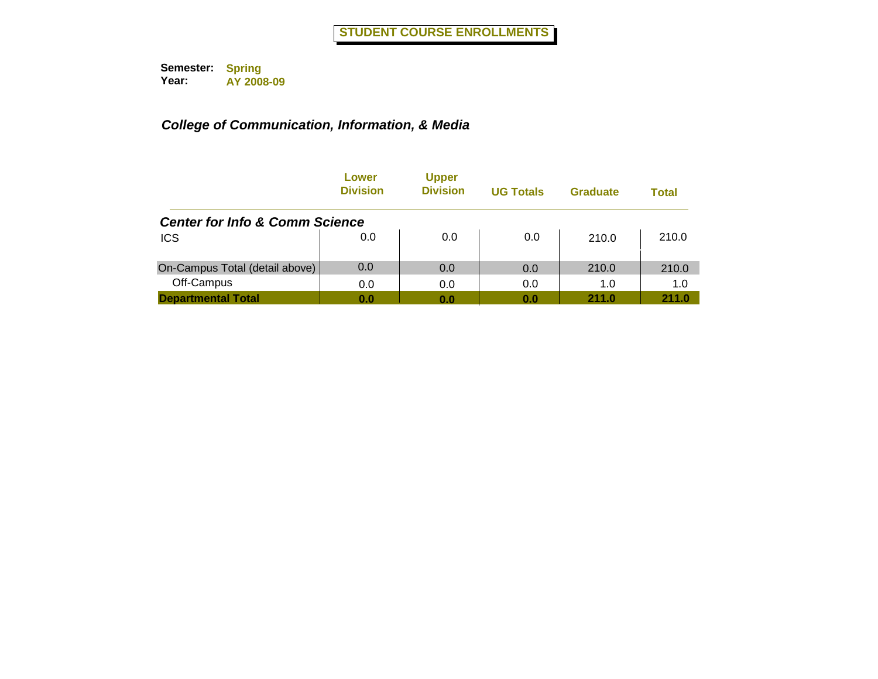|                                           | Lower<br><b>Division</b> | <b>Upper</b><br><b>Division</b> | <b>UG Totals</b> | Graduate | Total |
|-------------------------------------------|--------------------------|---------------------------------|------------------|----------|-------|
| <b>Center for Info &amp; Comm Science</b> |                          |                                 |                  |          |       |
| <b>ICS</b>                                | 0.0                      | 0.0                             | 0.0              | 210.0    | 210.0 |
| On-Campus Total (detail above)            | 0.0                      | 0.0                             | 0.0              | 210.0    | 210.0 |
| Off-Campus                                | 0.0                      | 0.0                             | 0.0              | 1.0      | 1.0   |
| <b>Departmental Total</b>                 | 0.0                      | 0.0                             | 0.0              | 211.0    | 211.0 |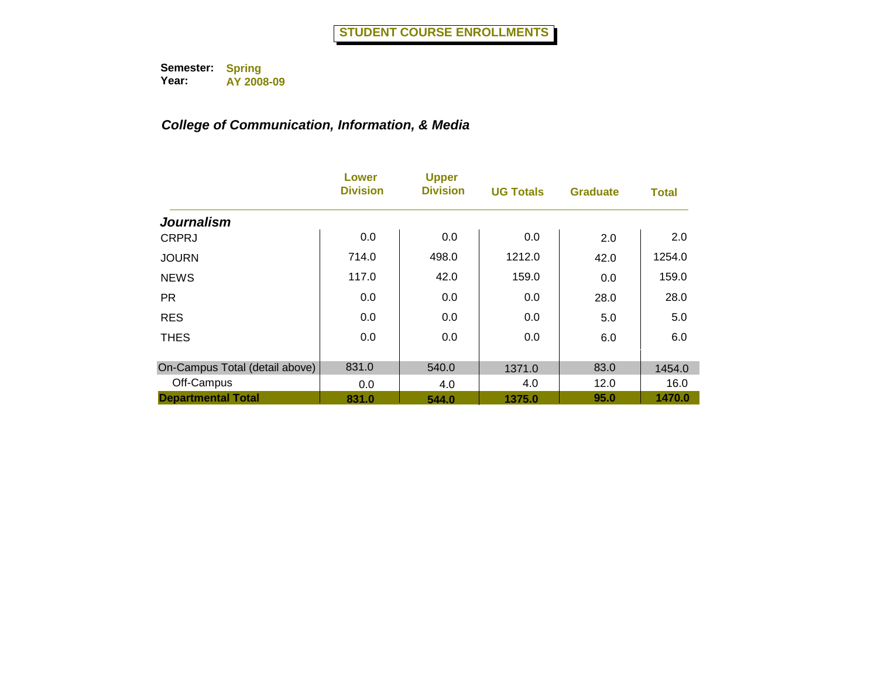|                                | Lower<br><b>Division</b> | <b>Upper</b><br><b>Division</b> | <b>UG Totals</b> | <b>Graduate</b> | <b>Total</b> |
|--------------------------------|--------------------------|---------------------------------|------------------|-----------------|--------------|
| <b>Journalism</b>              |                          |                                 |                  |                 |              |
| <b>CRPRJ</b>                   | 0.0                      | 0.0                             | 0.0              | 2.0             | 2.0          |
| <b>JOURN</b>                   | 714.0                    | 498.0                           | 1212.0           | 42.0            | 1254.0       |
| <b>NEWS</b>                    | 117.0                    | 42.0                            | 159.0            | 0.0             | 159.0        |
| <b>PR</b>                      | 0.0                      | 0.0                             | 0.0              | 28.0            | 28.0         |
| <b>RES</b>                     | 0.0                      | 0.0                             | 0.0              | 5.0             | 5.0          |
| <b>THES</b>                    | 0.0                      | 0.0                             | 0.0              | 6.0             | 6.0          |
| On-Campus Total (detail above) | 831.0                    | 540.0                           | 1371.0           | 83.0            | 1454.0       |
| Off-Campus                     | 0.0                      | 4.0                             | 4.0              | 12.0            | 16.0         |
| <b>Departmental Total</b>      | 831.0                    | 544.0                           | 1375.0           | 95.0            | 1470.0       |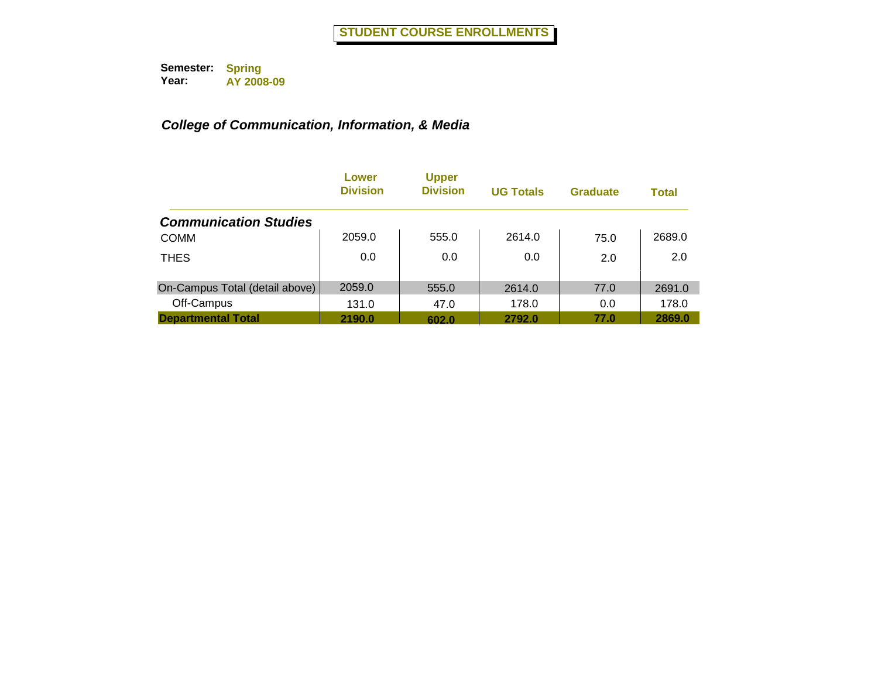|                                | Lower<br><b>Division</b> | <b>Upper</b><br><b>Division</b> | <b>UG Totals</b> | <b>Graduate</b> | <b>Total</b> |
|--------------------------------|--------------------------|---------------------------------|------------------|-----------------|--------------|
| <b>Communication Studies</b>   |                          |                                 |                  |                 |              |
| <b>COMM</b>                    | 2059.0                   | 555.0                           | 2614.0           | 75.0            | 2689.0       |
| <b>THES</b>                    | 0.0                      | 0.0                             | 0.0              | 2.0             | 2.0          |
| On-Campus Total (detail above) | 2059.0                   | 555.0                           | 2614.0           | 77.0            | 2691.0       |
| Off-Campus                     | 131.0                    | 47.0                            | 178.0            | 0.0             | 178.0        |
| <b>Departmental Total</b>      | 2190.0                   | 602.0                           | 2792.0           | 77.0            | 2869.0       |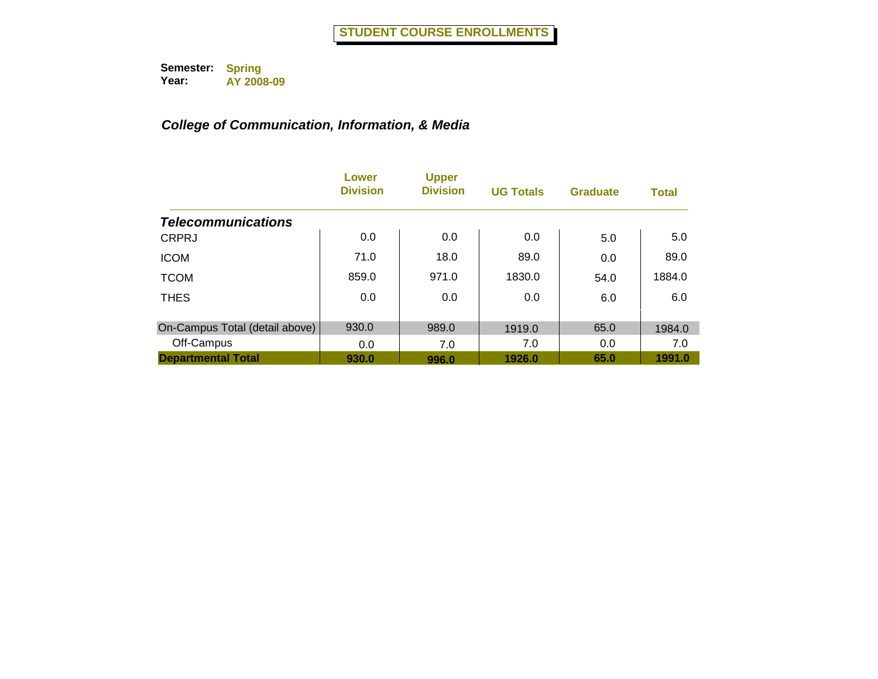|                                | Lower<br><b>Division</b> | <b>Upper</b><br><b>Division</b> | <b>UG Totals</b> | <b>Graduate</b> | <b>Total</b> |
|--------------------------------|--------------------------|---------------------------------|------------------|-----------------|--------------|
| <b>Telecommunications</b>      |                          |                                 |                  |                 |              |
| <b>CRPRJ</b>                   | 0.0                      | 0.0                             | 0.0              | 5.0             | 5.0          |
| <b>ICOM</b>                    | 71.0                     | 18.0                            | 89.0             | 0.0             | 89.0         |
| <b>TCOM</b>                    | 859.0                    | 971.0                           | 1830.0           | 54.0            | 1884.0       |
| <b>THES</b>                    | 0.0                      | 0.0                             | 0.0              | 6.0             | 6.0          |
| On-Campus Total (detail above) | 930.0                    | 989.0                           | 1919.0           | 65.0            | 1984.0       |
| Off-Campus                     | 0.0                      | 7.0                             | 7.0              | 0.0             | 7.0          |
| <b>Departmental Total</b>      | 930.0                    | 996.0                           | 1926.0           | 65.0            | 1991.0       |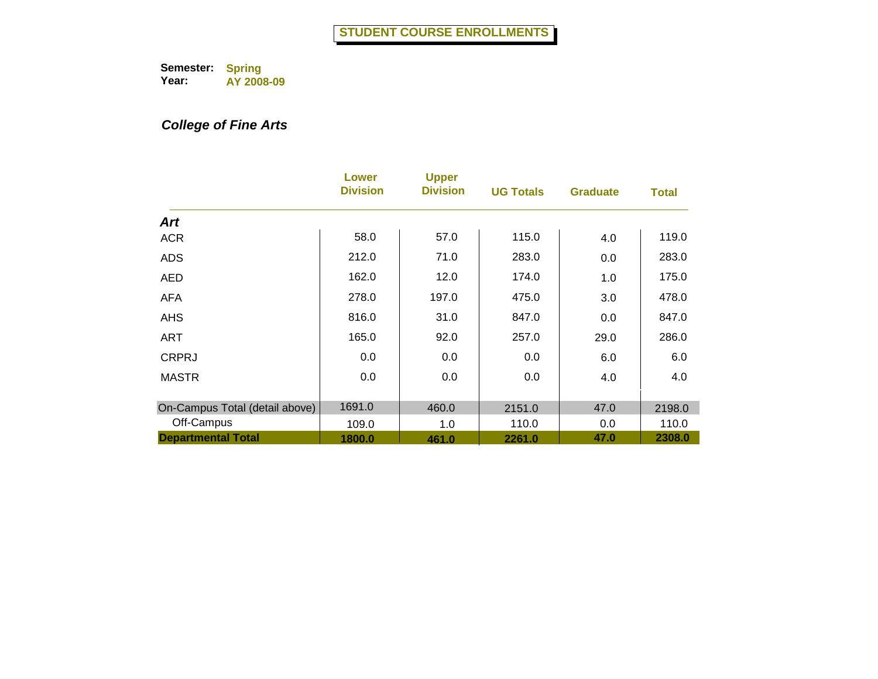# *College of Fine Arts*

|                                | Lower<br><b>Division</b> | <b>Upper</b><br><b>Division</b> | <b>UG Totals</b> | <b>Graduate</b> | <b>Total</b> |
|--------------------------------|--------------------------|---------------------------------|------------------|-----------------|--------------|
| <b>Art</b>                     |                          |                                 |                  |                 |              |
| <b>ACR</b>                     | 58.0                     | 57.0                            | 115.0            | 4.0             | 119.0        |
| <b>ADS</b>                     | 212.0                    | 71.0                            | 283.0            | 0.0             | 283.0        |
| <b>AED</b>                     | 162.0                    | 12.0                            | 174.0            | 1.0             | 175.0        |
| <b>AFA</b>                     | 278.0                    | 197.0                           | 475.0            | 3.0             | 478.0        |
| <b>AHS</b>                     | 816.0                    | 31.0                            | 847.0            | 0.0             | 847.0        |
| <b>ART</b>                     | 165.0                    | 92.0                            | 257.0            | 29.0            | 286.0        |
| <b>CRPRJ</b>                   | 0.0                      | 0.0                             | 0.0              | 6.0             | 6.0          |
| <b>MASTR</b>                   | 0.0                      | 0.0                             | 0.0              | 4.0             | 4.0          |
| On-Campus Total (detail above) | 1691.0                   | 460.0                           | 2151.0           | 47.0            | 2198.0       |
| Off-Campus                     | 109.0                    | 1.0                             | 110.0            | 0.0             | 110.0        |
| <b>Departmental Total</b>      | 1800.0                   | 461.0                           | 2261.0           | 47.0            | 2308.0       |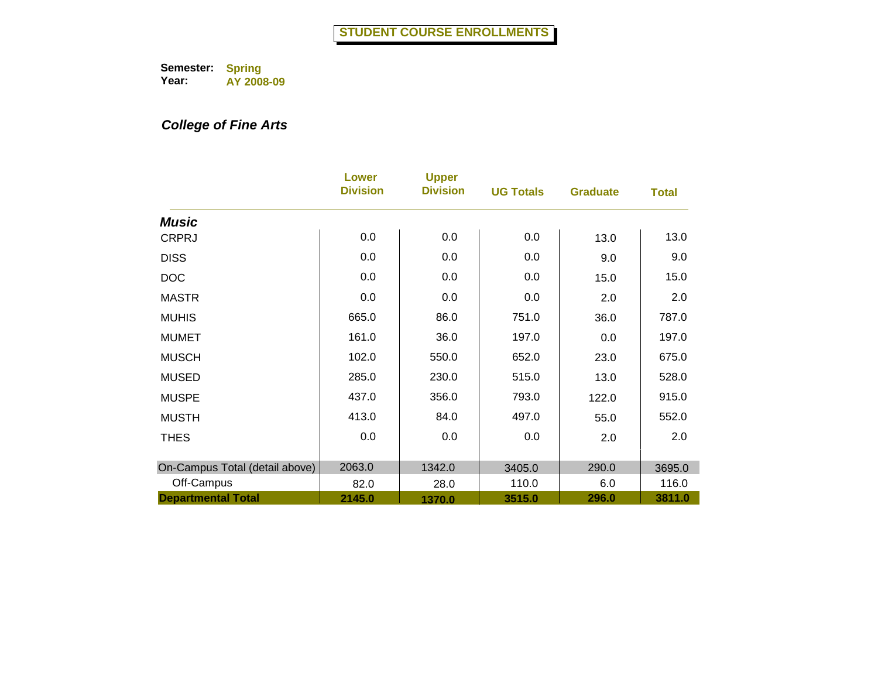## *College of Fine Arts*

|                                | Lower<br><b>Division</b> | <b>Upper</b><br><b>Division</b> | <b>UG Totals</b> | <b>Graduate</b> | <b>Total</b> |
|--------------------------------|--------------------------|---------------------------------|------------------|-----------------|--------------|
| <b>Music</b>                   |                          |                                 |                  |                 |              |
| <b>CRPRJ</b>                   | 0.0                      | 0.0                             | 0.0              | 13.0            | 13.0         |
| <b>DISS</b>                    | 0.0                      | 0.0                             | 0.0              | 9.0             | 9.0          |
| <b>DOC</b>                     | 0.0                      | 0.0                             | 0.0              | 15.0            | 15.0         |
| <b>MASTR</b>                   | 0.0                      | 0.0                             | 0.0              | 2.0             | 2.0          |
| <b>MUHIS</b>                   | 665.0                    | 86.0                            | 751.0            | 36.0            | 787.0        |
| <b>MUMET</b>                   | 161.0                    | 36.0                            | 197.0            | 0.0             | 197.0        |
| <b>MUSCH</b>                   | 102.0                    | 550.0                           | 652.0            | 23.0            | 675.0        |
| <b>MUSED</b>                   | 285.0                    | 230.0                           | 515.0            | 13.0            | 528.0        |
| <b>MUSPE</b>                   | 437.0                    | 356.0                           | 793.0            | 122.0           | 915.0        |
| <b>MUSTH</b>                   | 413.0                    | 84.0                            | 497.0            | 55.0            | 552.0        |
| <b>THES</b>                    | 0.0                      | 0.0                             | 0.0              | 2.0             | 2.0          |
|                                |                          |                                 |                  |                 |              |
| On-Campus Total (detail above) | 2063.0                   | 1342.0                          | 3405.0           | 290.0           | 3695.0       |
| Off-Campus                     | 82.0                     | 28.0                            | 110.0            | 6.0             | 116.0        |
| <b>Departmental Total</b>      | 2145.0                   | 1370.0                          | 3515.0           | 296.0           | 3811.0       |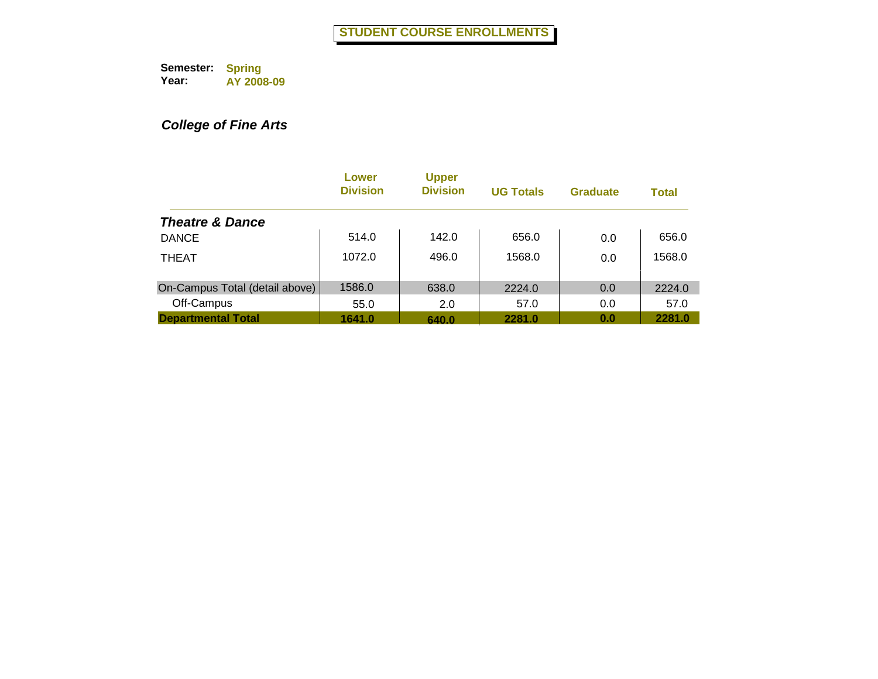# *College of Fine Arts*

|                                | Lower<br><b>Division</b> | <b>Upper</b><br><b>Division</b> | <b>UG Totals</b> | <b>Graduate</b> | <b>Total</b> |
|--------------------------------|--------------------------|---------------------------------|------------------|-----------------|--------------|
| <b>Theatre &amp; Dance</b>     |                          |                                 |                  |                 |              |
| <b>DANCE</b>                   | 514.0                    | 142.0                           | 656.0            | 0.0             | 656.0        |
| <b>THEAT</b>                   | 1072.0                   | 496.0                           | 1568.0           | 0.0             | 1568.0       |
| On-Campus Total (detail above) | 1586.0                   | 638.0                           | 2224.0           | 0.0             | 2224.0       |
| Off-Campus                     | 55.0                     | 2.0                             | 57.0             | 0.0             | 57.0         |
| <b>Departmental Total</b>      | 1641.0                   | 640.0                           | 2281.0           | 0.0             | 2281.0       |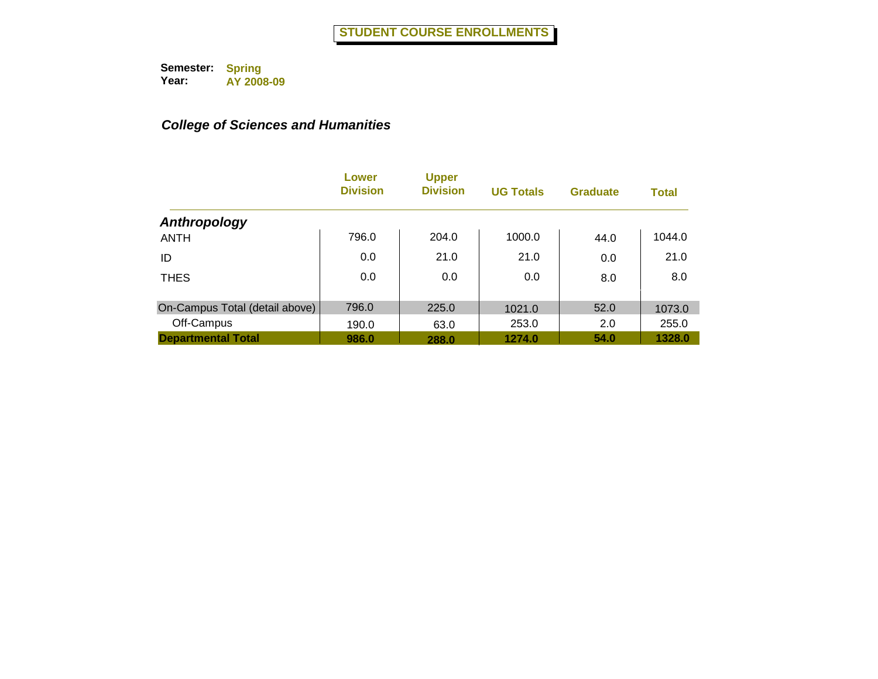|                                | Lower<br><b>Division</b> | <b>Upper</b><br><b>Division</b> | <b>UG Totals</b> | Graduate | <b>Total</b> |
|--------------------------------|--------------------------|---------------------------------|------------------|----------|--------------|
| Anthropology                   |                          |                                 |                  |          |              |
| <b>ANTH</b>                    | 796.0                    | 204.0                           | 1000.0           | 44.0     | 1044.0       |
| ID                             | 0.0                      | 21.0                            | 21.0             | 0.0      | 21.0         |
| <b>THES</b>                    | 0.0                      | 0.0                             | 0.0              | 8.0      | 8.0          |
| On-Campus Total (detail above) | 796.0                    | 225.0                           | 1021.0           | 52.0     | 1073.0       |
| Off-Campus                     | 190.0                    | 63.0                            | 253.0            | 2.0      | 255.0        |
| <b>Departmental Total</b>      | 986.0                    | 288.0                           | 1274.0           | 54.0     | 1328.0       |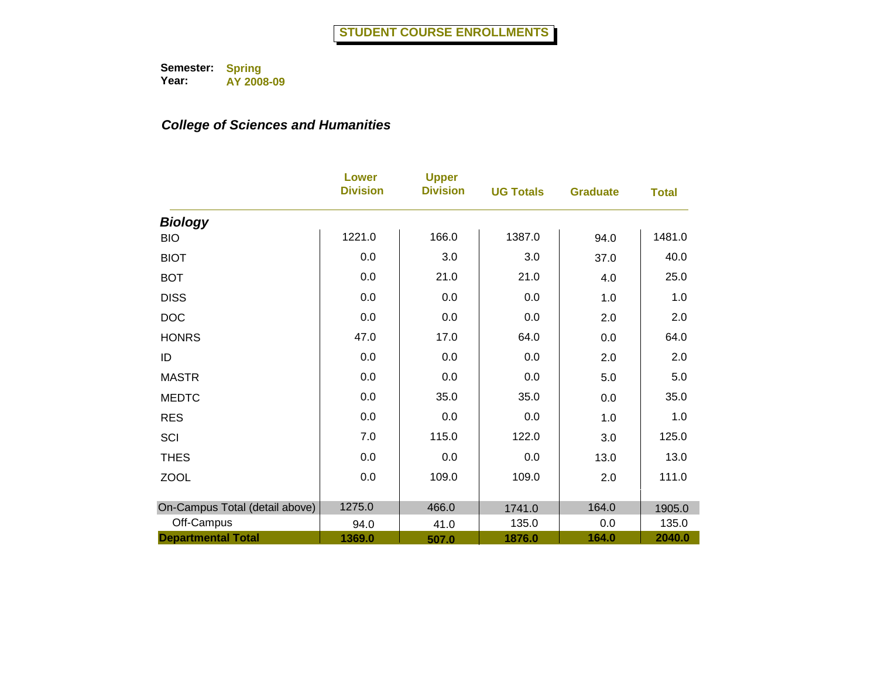|                                | <b>Lower</b><br><b>Division</b> | <b>Upper</b><br><b>Division</b> | <b>UG Totals</b> | <b>Graduate</b> | <b>Total</b> |
|--------------------------------|---------------------------------|---------------------------------|------------------|-----------------|--------------|
| <b>Biology</b>                 |                                 |                                 |                  |                 |              |
| <b>BIO</b>                     | 1221.0                          | 166.0                           | 1387.0           | 94.0            | 1481.0       |
| <b>BIOT</b>                    | 0.0                             | 3.0                             | 3.0              | 37.0            | 40.0         |
| <b>BOT</b>                     | 0.0                             | 21.0                            | 21.0             | 4.0             | 25.0         |
| <b>DISS</b>                    | 0.0                             | 0.0                             | 0.0              | 1.0             | 1.0          |
| <b>DOC</b>                     | 0.0                             | 0.0                             | 0.0              | 2.0             | 2.0          |
| <b>HONRS</b>                   | 47.0                            | 17.0                            | 64.0             | 0.0             | 64.0         |
| ID                             | 0.0                             | 0.0                             | 0.0              | 2.0             | 2.0          |
| <b>MASTR</b>                   | 0.0                             | 0.0                             | 0.0              | 5.0             | 5.0          |
| <b>MEDTC</b>                   | 0.0                             | 35.0                            | 35.0             | 0.0             | 35.0         |
| <b>RES</b>                     | 0.0                             | 0.0                             | 0.0              | 1.0             | 1.0          |
| SCI                            | 7.0                             | 115.0                           | 122.0            | 3.0             | 125.0        |
| <b>THES</b>                    | 0.0                             | 0.0                             | 0.0              | 13.0            | 13.0         |
| <b>ZOOL</b>                    | 0.0                             | 109.0                           | 109.0            | 2.0             | 111.0        |
|                                |                                 |                                 |                  |                 |              |
| On-Campus Total (detail above) | 1275.0                          | 466.0                           | 1741.0           | 164.0           | 1905.0       |
| Off-Campus                     | 94.0                            | 41.0                            | 135.0            | 0.0             | 135.0        |
| <b>Departmental Total</b>      | 1369.0                          | 507.0                           | 1876.0           | 164.0           | 2040.0       |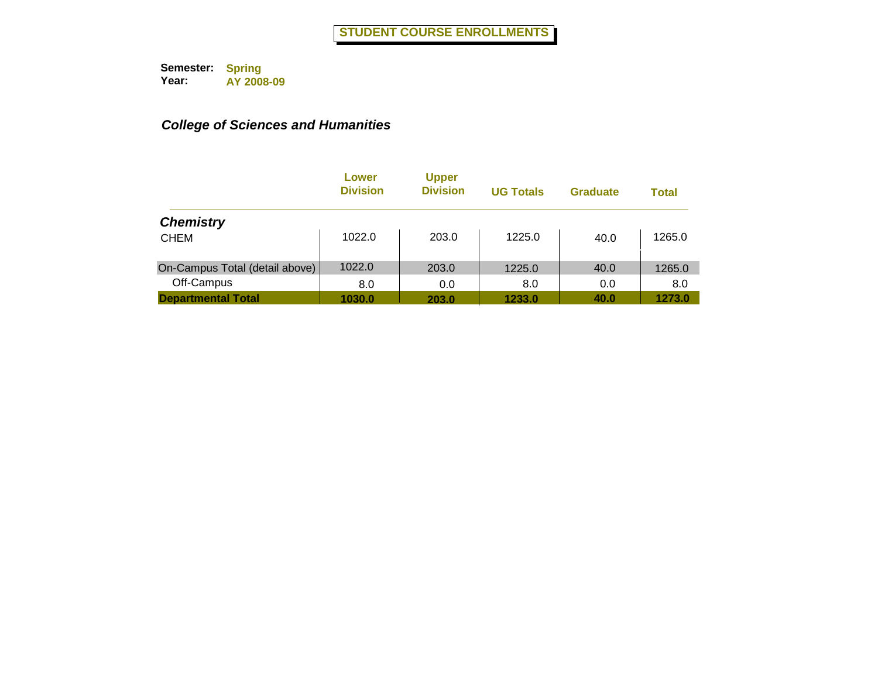|                                | Lower<br><b>Division</b> | <b>Upper</b><br><b>Division</b> | <b>UG Totals</b> | <b>Graduate</b> | <b>Total</b> |
|--------------------------------|--------------------------|---------------------------------|------------------|-----------------|--------------|
| <b>Chemistry</b>               |                          |                                 |                  |                 |              |
| <b>CHEM</b>                    | 1022.0                   | 203.0                           | 1225.0           | 40.0            | 1265.0       |
| On-Campus Total (detail above) | 1022.0                   | 203.0                           | 1225.0           | 40.0            | 1265.0       |
| Off-Campus                     | 8.0                      | 0.0                             | 8.0              | 0.0             | 8.0          |
| <b>Departmental Total</b>      | 1030.0                   | 203.0                           | 1233.0           | 40.0            | 1273.0       |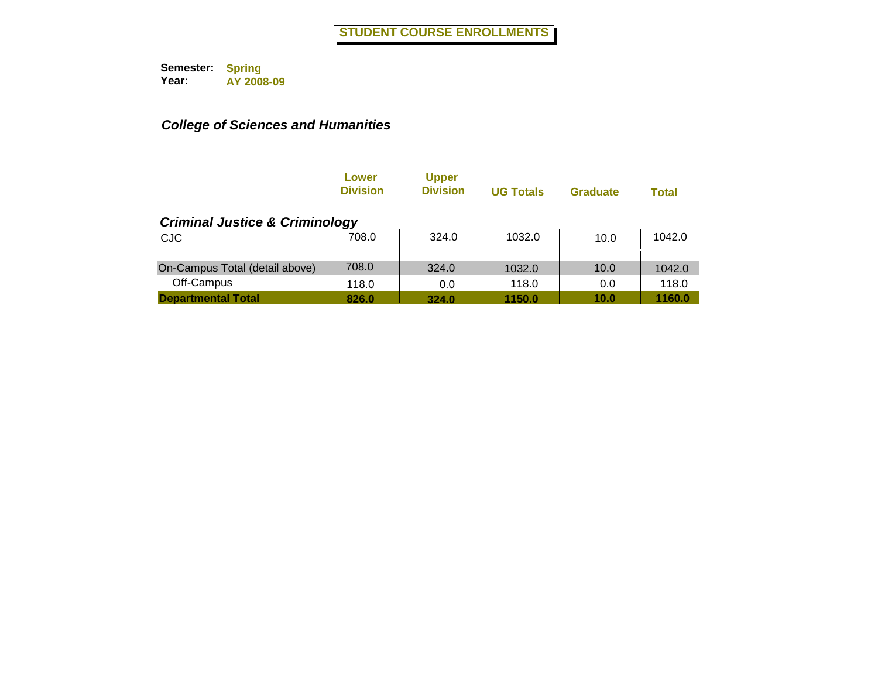|                                           | Lower<br><b>Division</b> | <b>Upper</b><br><b>Division</b> | <b>UG Totals</b> | <b>Graduate</b> | Total  |
|-------------------------------------------|--------------------------|---------------------------------|------------------|-----------------|--------|
| <b>Criminal Justice &amp; Criminology</b> |                          |                                 |                  |                 |        |
| <b>CJC</b>                                | 708.0                    | 324.0                           | 1032.0           | 10.0            | 1042.0 |
| On-Campus Total (detail above)            | 708.0                    | 324.0                           | 1032.0           | 10.0            | 1042.0 |
| Off-Campus                                | 118.0                    | 0.0                             | 118.0            | 0.0             | 118.0  |
| <b>Departmental Total</b>                 | 826.0                    | 324.0                           | 1150.0           | 10.0            | 1160.0 |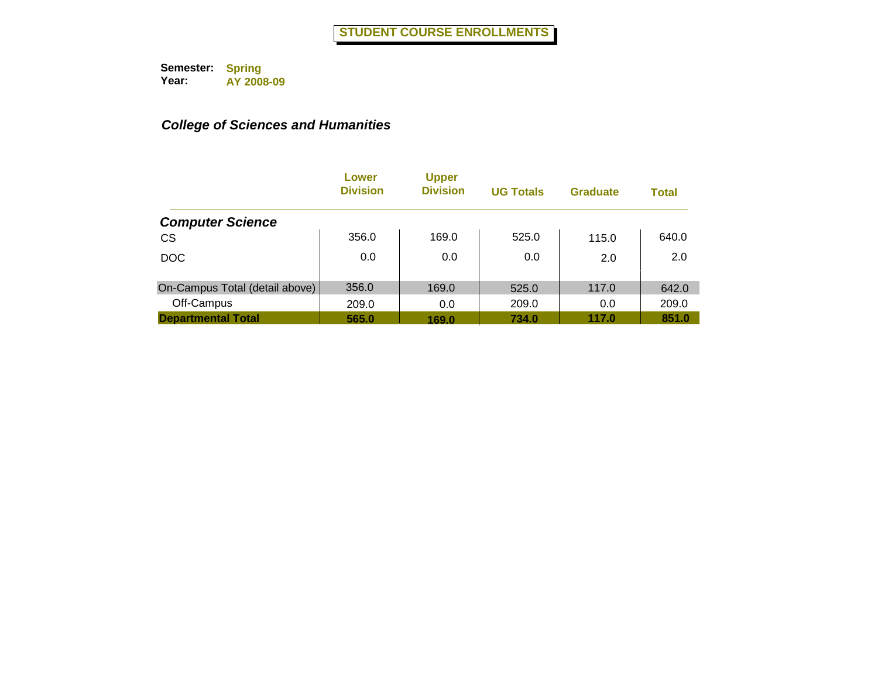|                                | Lower<br><b>Division</b> | <b>Upper</b><br><b>Division</b> | <b>UG Totals</b> | <b>Graduate</b> | <b>Total</b> |
|--------------------------------|--------------------------|---------------------------------|------------------|-----------------|--------------|
| <b>Computer Science</b>        |                          |                                 |                  |                 |              |
| <b>CS</b>                      | 356.0                    | 169.0                           | 525.0            | 115.0           | 640.0        |
| <b>DOC</b>                     | 0.0                      | 0.0                             | 0.0              | 2.0             | 2.0          |
| On-Campus Total (detail above) | 356.0                    | 169.0                           | 525.0            | 117.0           | 642.0        |
| Off-Campus                     | 209.0                    | 0.0                             | 209.0            | 0.0             | 209.0        |
| <b>Departmental Total</b>      | 565.0                    | 169.0                           | 734.0            | 117.0           | 851.0        |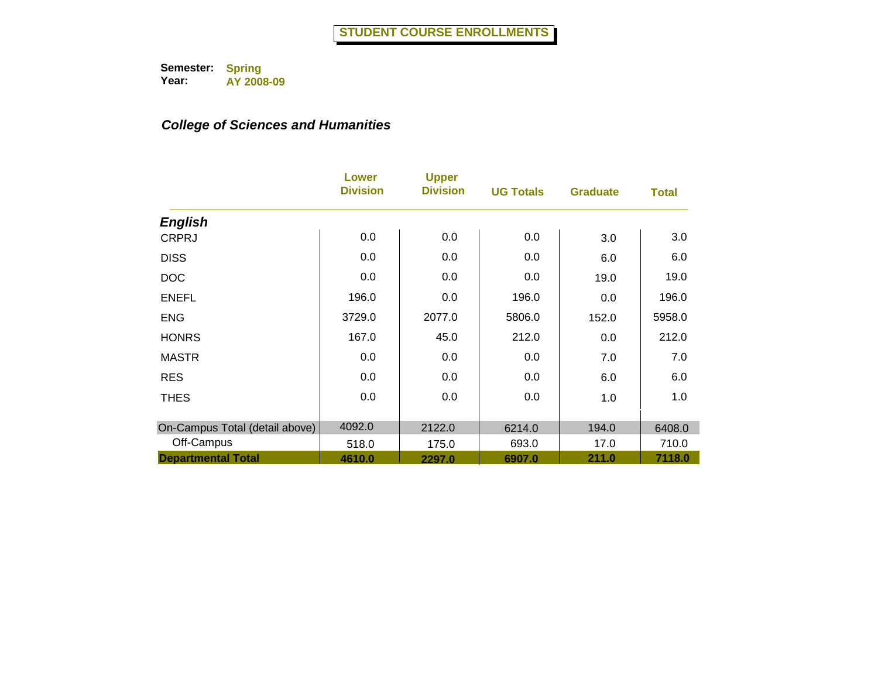|                                | Lower<br><b>Division</b> | <b>Upper</b><br><b>Division</b> | <b>UG Totals</b> | <b>Graduate</b> | <b>Total</b> |
|--------------------------------|--------------------------|---------------------------------|------------------|-----------------|--------------|
| <b>English</b>                 |                          |                                 |                  |                 |              |
| <b>CRPRJ</b>                   | 0.0                      | 0.0                             | 0.0              | 3.0             | 3.0          |
| <b>DISS</b>                    | 0.0                      | 0.0                             | 0.0              | 6.0             | 6.0          |
| <b>DOC</b>                     | 0.0                      | 0.0                             | 0.0              | 19.0            | 19.0         |
| <b>ENEFL</b>                   | 196.0                    | 0.0                             | 196.0            | 0.0             | 196.0        |
| <b>ENG</b>                     | 3729.0                   | 2077.0                          | 5806.0           | 152.0           | 5958.0       |
| <b>HONRS</b>                   | 167.0                    | 45.0                            | 212.0            | 0.0             | 212.0        |
| <b>MASTR</b>                   | 0.0                      | 0.0                             | 0.0              | 7.0             | 7.0          |
| <b>RES</b>                     | 0.0                      | 0.0                             | 0.0              | 6.0             | 6.0          |
| <b>THES</b>                    | 0.0                      | 0.0                             | 0.0              | 1.0             | 1.0          |
|                                |                          |                                 |                  |                 |              |
| On-Campus Total (detail above) | 4092.0                   | 2122.0                          | 6214.0           | 194.0           | 6408.0       |
| Off-Campus                     | 518.0                    | 175.0                           | 693.0            | 17.0            | 710.0        |
| <b>Departmental Total</b>      | 4610.0                   | 2297.0                          | 6907.0           | 211.0           | 7118.0       |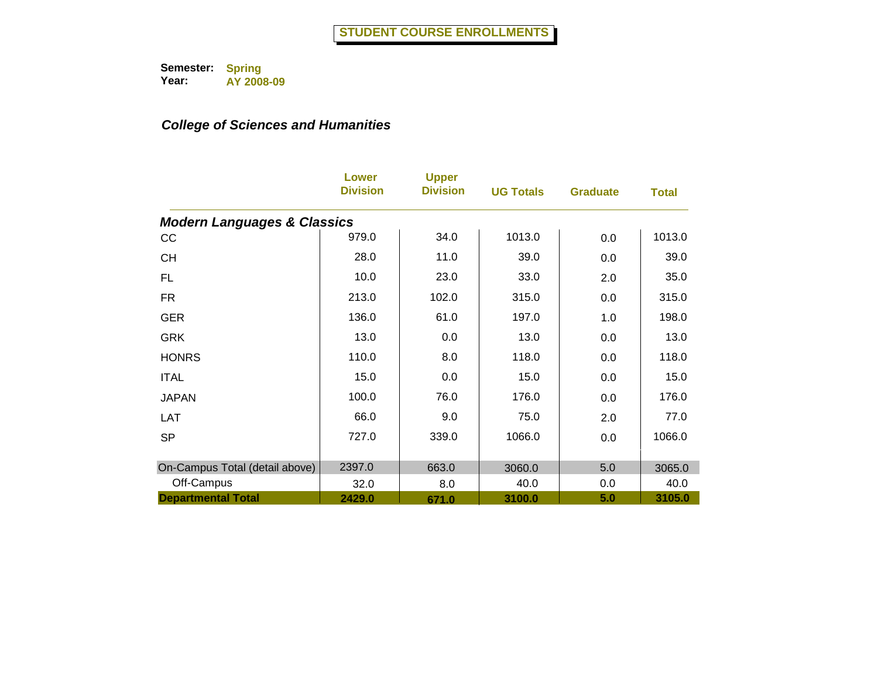|                                        | Lower<br><b>Division</b> | <b>Upper</b><br><b>Division</b> | <b>UG Totals</b> | <b>Graduate</b> | <b>Total</b> |
|----------------------------------------|--------------------------|---------------------------------|------------------|-----------------|--------------|
| <b>Modern Languages &amp; Classics</b> |                          |                                 |                  |                 |              |
| cc                                     | 979.0                    | 34.0                            | 1013.0           | 0.0             | 1013.0       |
| <b>CH</b>                              | 28.0                     | 11.0                            | 39.0             | 0.0             | 39.0         |
| FL                                     | 10.0                     | 23.0                            | 33.0             | 2.0             | 35.0         |
| <b>FR</b>                              | 213.0                    | 102.0                           | 315.0            | 0.0             | 315.0        |
| <b>GER</b>                             | 136.0                    | 61.0                            | 197.0            | 1.0             | 198.0        |
| <b>GRK</b>                             | 13.0                     | 0.0                             | 13.0             | 0.0             | 13.0         |
| <b>HONRS</b>                           | 110.0                    | 8.0                             | 118.0            | 0.0             | 118.0        |
| <b>ITAL</b>                            | 15.0                     | 0.0                             | 15.0             | 0.0             | 15.0         |
| <b>JAPAN</b>                           | 100.0                    | 76.0                            | 176.0            | 0.0             | 176.0        |
| <b>LAT</b>                             | 66.0                     | 9.0                             | 75.0             | 2.0             | 77.0         |
| <b>SP</b>                              | 727.0                    | 339.0                           | 1066.0           | 0.0             | 1066.0       |
|                                        |                          |                                 |                  |                 |              |
| On-Campus Total (detail above)         | 2397.0                   | 663.0                           | 3060.0           | 5.0             | 3065.0       |
| Off-Campus                             | 32.0                     | 8.0                             | 40.0             | 0.0             | 40.0         |
| <b>Departmental Total</b>              | 2429.0                   | 671.0                           | 3100.0           | 5.0             | 3105.0       |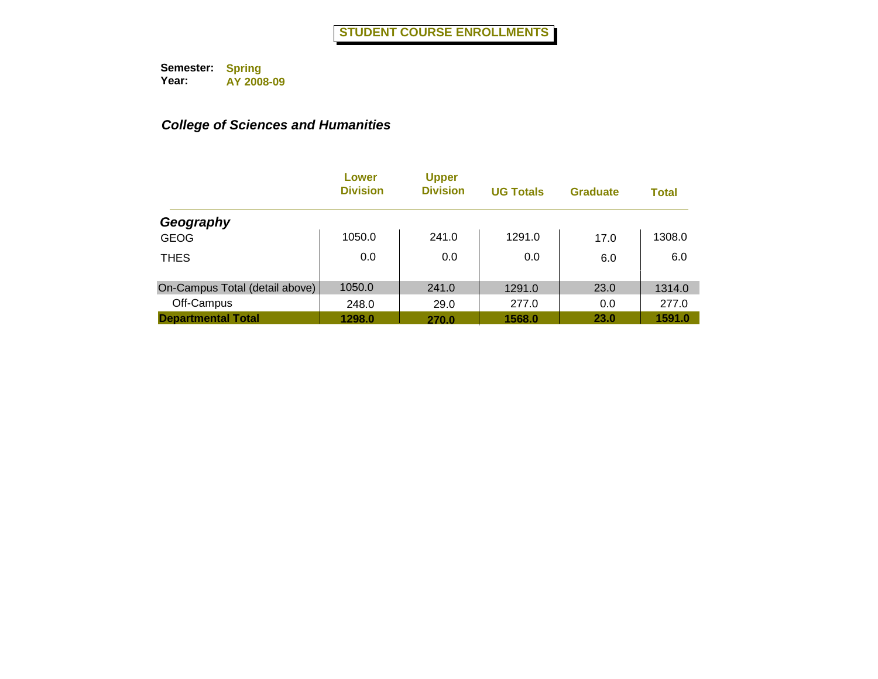|                                | Lower<br><b>Division</b> | <b>Upper</b><br><b>Division</b> | <b>UG Totals</b> | <b>Graduate</b> | <b>Total</b> |
|--------------------------------|--------------------------|---------------------------------|------------------|-----------------|--------------|
| Geography                      |                          |                                 |                  |                 |              |
| <b>GEOG</b>                    | 1050.0                   | 241.0                           | 1291.0           | 17.0            | 1308.0       |
| <b>THES</b>                    | 0.0                      | 0.0                             | 0.0              | 6.0             | 6.0          |
| On-Campus Total (detail above) | 1050.0                   | 241.0                           | 1291.0           | 23.0            | 1314.0       |
| Off-Campus                     | 248.0                    | 29.0                            | 277.0            | 0.0             | 277.0        |
| <b>Departmental Total</b>      | 1298.0                   | 270.0                           | 1568.0           | <b>23.0</b>     | 1591.0       |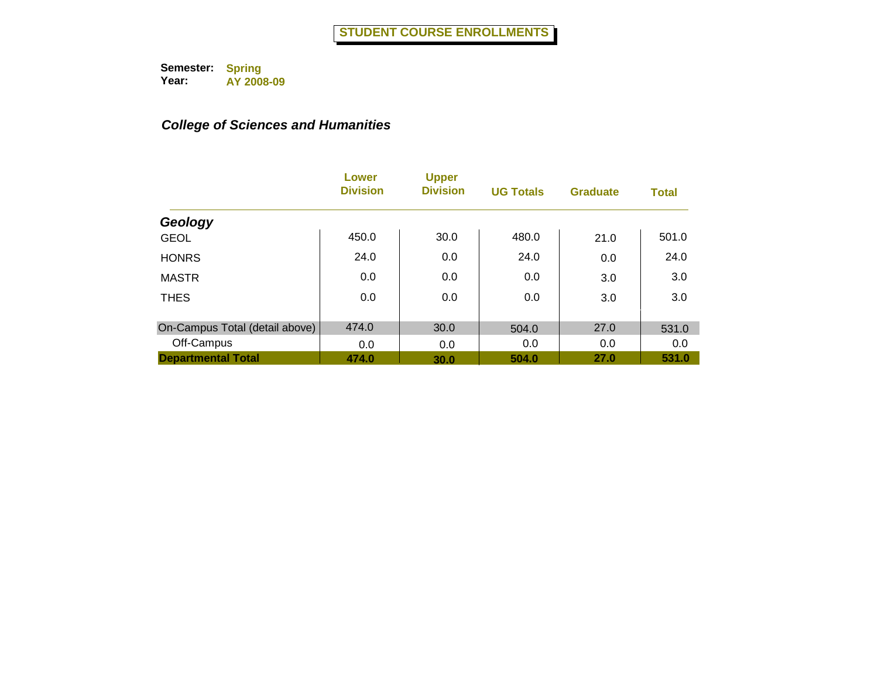|                                | Lower<br><b>Division</b> | <b>Upper</b><br><b>Division</b> | <b>UG Totals</b> | <b>Graduate</b> | <b>Total</b> |
|--------------------------------|--------------------------|---------------------------------|------------------|-----------------|--------------|
| Geology                        |                          |                                 |                  |                 |              |
| <b>GEOL</b>                    | 450.0                    | 30.0                            | 480.0            | 21.0            | 501.0        |
| <b>HONRS</b>                   | 24.0                     | 0.0                             | 24.0             | 0.0             | 24.0         |
| <b>MASTR</b>                   | 0.0                      | 0.0                             | 0.0              | 3.0             | 3.0          |
| <b>THES</b>                    | 0.0                      | 0.0                             | 0.0              | 3.0             | 3.0          |
|                                |                          |                                 |                  |                 |              |
| On-Campus Total (detail above) | 474.0                    | 30.0                            | 504.0            | 27.0            | 531.0        |
| Off-Campus                     | 0.0                      | 0.0                             | 0.0              | 0.0             | 0.0          |
| <b>Departmental Total</b>      | 474.0                    | 30.0                            | 504.0            | 27.0            | 531.0        |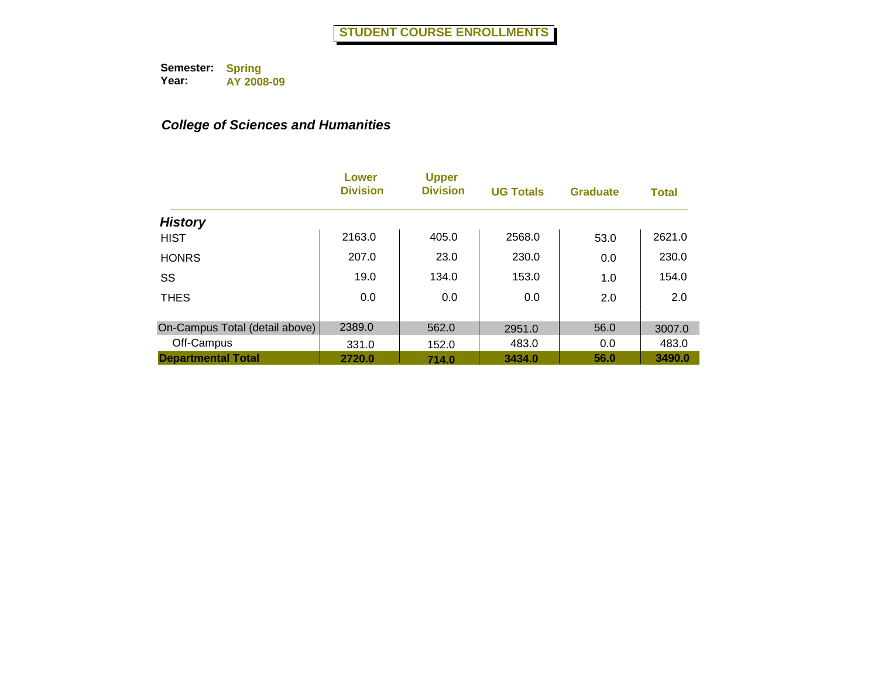|                                | Lower<br><b>Division</b> | <b>Upper</b><br><b>Division</b> | <b>UG Totals</b> | <b>Graduate</b> | <b>Total</b> |
|--------------------------------|--------------------------|---------------------------------|------------------|-----------------|--------------|
| <b>History</b>                 |                          |                                 |                  |                 |              |
| <b>HIST</b>                    | 2163.0                   | 405.0                           | 2568.0           | 53.0            | 2621.0       |
| <b>HONRS</b>                   | 207.0                    | 23.0                            | 230.0            | 0.0             | 230.0        |
| SS                             | 19.0                     | 134.0                           | 153.0            | 1.0             | 154.0        |
| <b>THES</b>                    | 0.0                      | 0.0                             | 0.0              | 2.0             | 2.0          |
|                                |                          |                                 |                  |                 |              |
| On-Campus Total (detail above) | 2389.0                   | 562.0                           | 2951.0           | 56.0            | 3007.0       |
| Off-Campus                     | 331.0                    | 152.0                           | 483.0            | 0.0             | 483.0        |
| <b>Departmental Total</b>      | 2720.0                   | 714.0                           | 3434.0           | 56.0            | 3490.0       |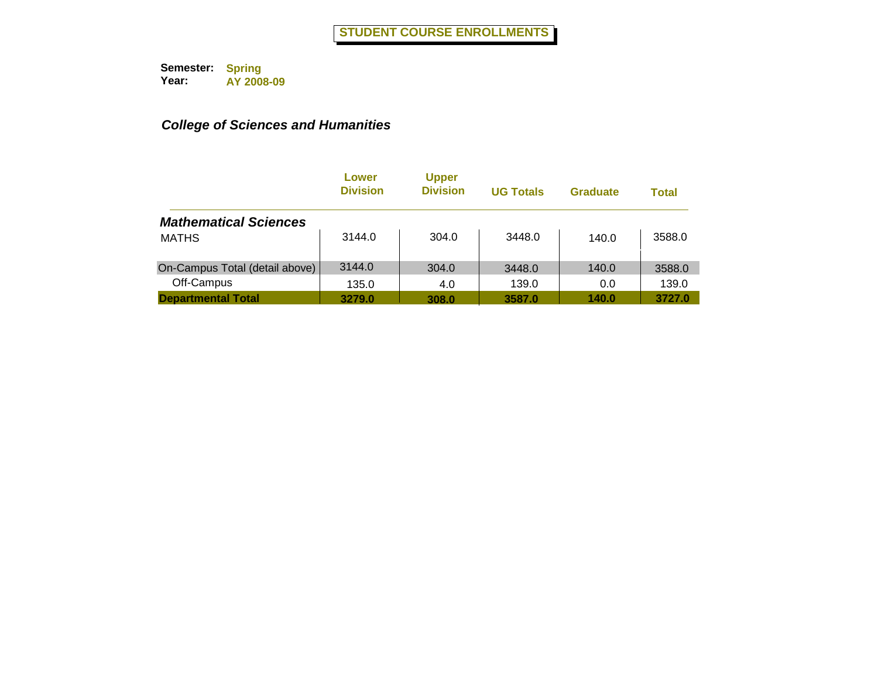|                                | Lower<br><b>Division</b> | <b>Upper</b><br><b>Division</b> | <b>UG Totals</b> | <b>Graduate</b> | <b>Total</b> |
|--------------------------------|--------------------------|---------------------------------|------------------|-----------------|--------------|
| <b>Mathematical Sciences</b>   |                          |                                 |                  |                 |              |
| <b>MATHS</b>                   | 3144.0                   | 304.0                           | 3448.0           | 140.0           | 3588.0       |
| On-Campus Total (detail above) | 3144.0                   | 304.0                           | 3448.0           | 140.0           | 3588.0       |
| Off-Campus                     | 135.0                    | 4.0                             | 139.0            | 0.0             | 139.0        |
| <b>Departmental Total</b>      | 3279.0                   | 308.0                           | 3587.0           | 140.0           | 3727.0       |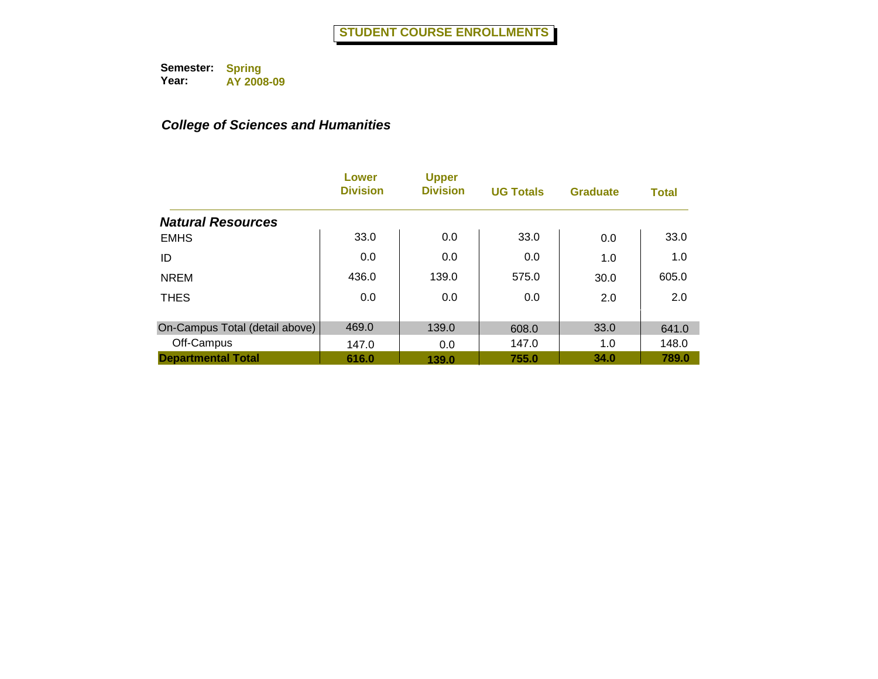|                                | Lower<br><b>Division</b> | <b>Upper</b><br><b>Division</b> | <b>UG Totals</b> | <b>Graduate</b> | <b>Total</b> |
|--------------------------------|--------------------------|---------------------------------|------------------|-----------------|--------------|
| <b>Natural Resources</b>       |                          |                                 |                  |                 |              |
| <b>EMHS</b>                    | 33.0                     | 0.0                             | 33.0             | 0.0             | 33.0         |
| ID                             | 0.0                      | 0.0                             | 0.0              | 1.0             | 1.0          |
| <b>NREM</b>                    | 436.0                    | 139.0                           | 575.0            | 30.0            | 605.0        |
| <b>THES</b>                    | 0.0                      | 0.0                             | 0.0              | 2.0             | 2.0          |
|                                |                          |                                 |                  |                 |              |
| On-Campus Total (detail above) | 469.0                    | 139.0                           | 608.0            | 33.0            | 641.0        |
| Off-Campus                     | 147.0                    | 0.0                             | 147.0            | 1.0             | 148.0        |
| <b>Departmental Total</b>      | 616.0                    | 139.0                           | 755.0            | 34.0            | 789.0        |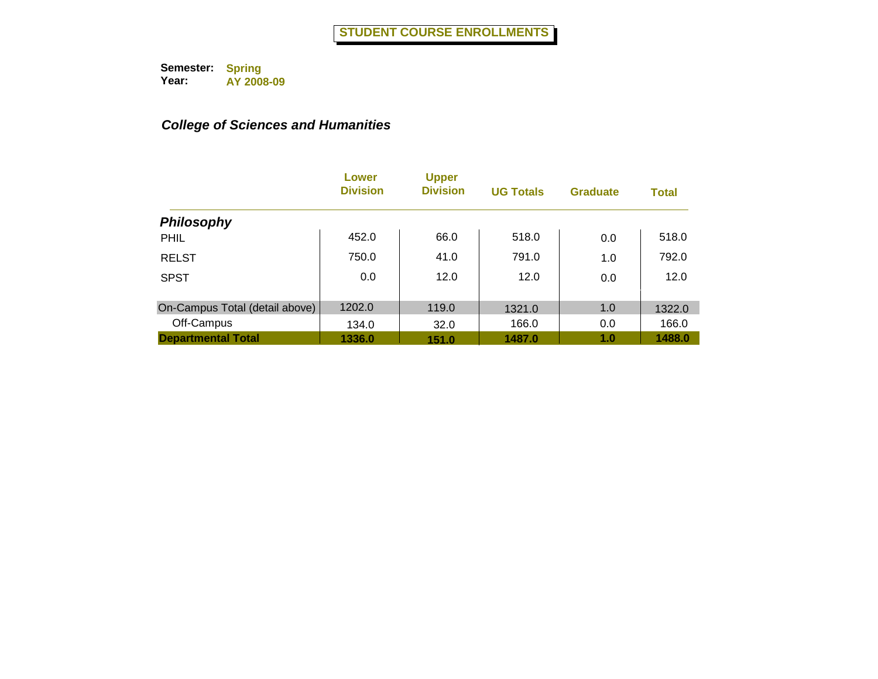|                                | Lower<br><b>Division</b> | <b>Upper</b><br><b>Division</b> | <b>UG Totals</b> | <b>Graduate</b> | <b>Total</b> |
|--------------------------------|--------------------------|---------------------------------|------------------|-----------------|--------------|
| <b>Philosophy</b>              |                          |                                 |                  |                 |              |
| <b>PHIL</b>                    | 452.0                    | 66.0                            | 518.0            | 0.0             | 518.0        |
| <b>RELST</b>                   | 750.0                    | 41.0                            | 791.0            | 1.0             | 792.0        |
| <b>SPST</b>                    | 0.0                      | 12.0                            | 12.0             | 0.0             | 12.0         |
| On-Campus Total (detail above) | 1202.0                   | 119.0                           | 1321.0           | 1.0             | 1322.0       |
| Off-Campus                     | 134.0                    | 32.0                            | 166.0            | 0.0             | 166.0        |
| <b>Departmental Total</b>      | 1336.0                   | 151.0                           | 1487.0           | 1.0             | 1488.0       |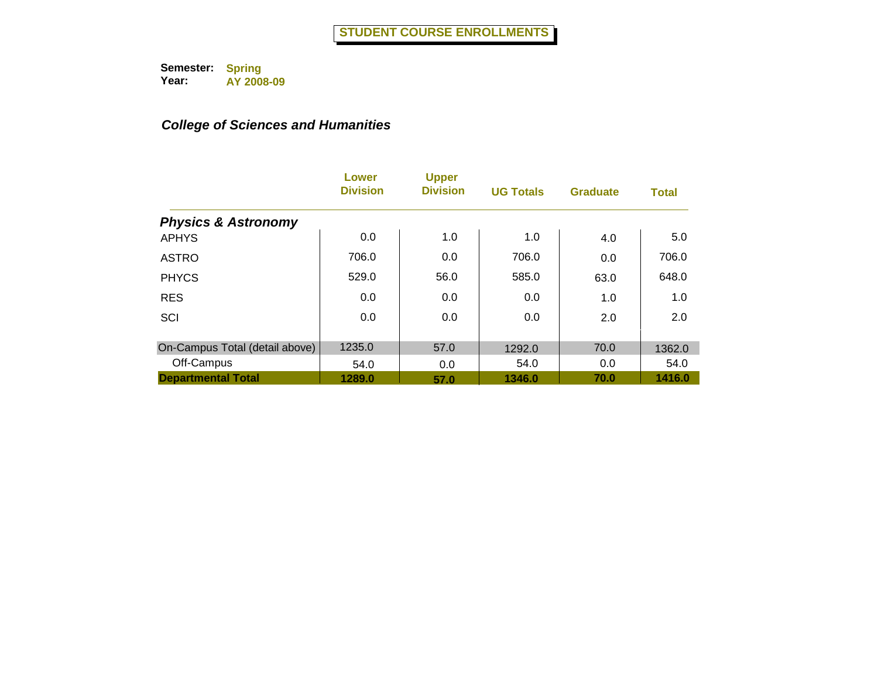|                                | Lower<br><b>Division</b> | <b>Upper</b><br><b>Division</b> | <b>UG Totals</b> | <b>Graduate</b> | <b>Total</b> |
|--------------------------------|--------------------------|---------------------------------|------------------|-----------------|--------------|
| <b>Physics &amp; Astronomy</b> |                          |                                 |                  |                 |              |
| <b>APHYS</b>                   | 0.0                      | 1.0                             | 1.0              | 4.0             | 5.0          |
| <b>ASTRO</b>                   | 706.0                    | 0.0                             | 706.0            | 0.0             | 706.0        |
| <b>PHYCS</b>                   | 529.0                    | 56.0                            | 585.0            | 63.0            | 648.0        |
| <b>RES</b>                     | 0.0                      | 0.0                             | 0.0              | 1.0             | 1.0          |
| SCI                            | 0.0                      | 0.0                             | 0.0              | 2.0             | 2.0          |
| On-Campus Total (detail above) | 1235.0                   | 57.0                            | 1292.0           | 70.0            | 1362.0       |
| Off-Campus                     | 54.0                     | 0.0                             | 54.0             | 0.0             | 54.0         |
| <b>Departmental Total</b>      | 1289.0                   | 57.0                            | 1346.0           | 70.0            | 1416.0       |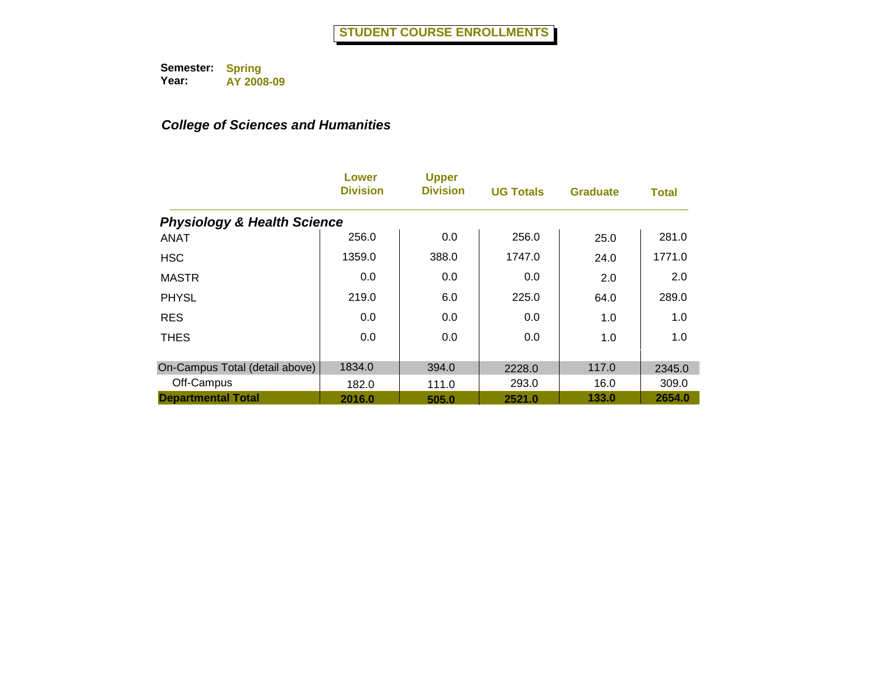|                                        | Lower<br><b>Division</b> | <b>Upper</b><br><b>Division</b> | <b>UG Totals</b> | <b>Graduate</b> | <b>Total</b> |
|----------------------------------------|--------------------------|---------------------------------|------------------|-----------------|--------------|
| <b>Physiology &amp; Health Science</b> |                          |                                 |                  |                 |              |
| <b>ANAT</b>                            | 256.0                    | 0.0                             | 256.0            | 25.0            | 281.0        |
| <b>HSC</b>                             | 1359.0                   | 388.0                           | 1747.0           | 24.0            | 1771.0       |
| <b>MASTR</b>                           | 0.0                      | 0.0                             | 0.0              | 2.0             | 2.0          |
| <b>PHYSL</b>                           | 219.0                    | 6.0                             | 225.0            | 64.0            | 289.0        |
| <b>RES</b>                             | 0.0                      | 0.0                             | 0.0              | 1.0             | 1.0          |
| <b>THES</b>                            | 0.0                      | 0.0                             | 0.0              | 1.0             | 1.0          |
| On-Campus Total (detail above)         | 1834.0                   | 394.0                           | 2228.0           | 117.0           | 2345.0       |
| Off-Campus                             | 182.0                    | 111.0                           | 293.0            | 16.0            | 309.0        |
| <b>Departmental Total</b>              | 2016.0                   | 505.0                           | 2521.0           | 133.0           | 2654.0       |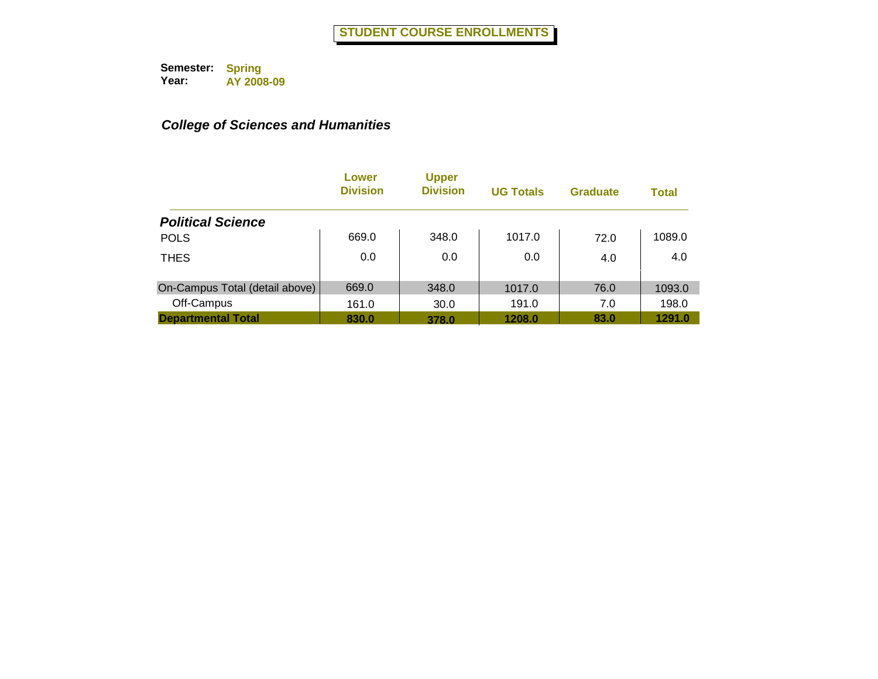|                                | Lower<br><b>Division</b> | <b>Upper</b><br><b>Division</b> | <b>UG Totals</b> | <b>Graduate</b> | <b>Total</b> |
|--------------------------------|--------------------------|---------------------------------|------------------|-----------------|--------------|
| <b>Political Science</b>       |                          |                                 |                  |                 |              |
| <b>POLS</b>                    | 669.0                    | 348.0                           | 1017.0           | 72.0            | 1089.0       |
| <b>THES</b>                    | 0.0                      | 0.0                             | 0.0              | 4.0             | 4.0          |
| On-Campus Total (detail above) | 669.0                    | 348.0                           | 1017.0           | 76.0            | 1093.0       |
| Off-Campus                     | 161.0                    | 30.0                            | 191.0            | 7.0             | 198.0        |
| <b>Departmental Total</b>      | 830.0                    | 378.0                           | 1208.0           | 83.0            | 1291.0       |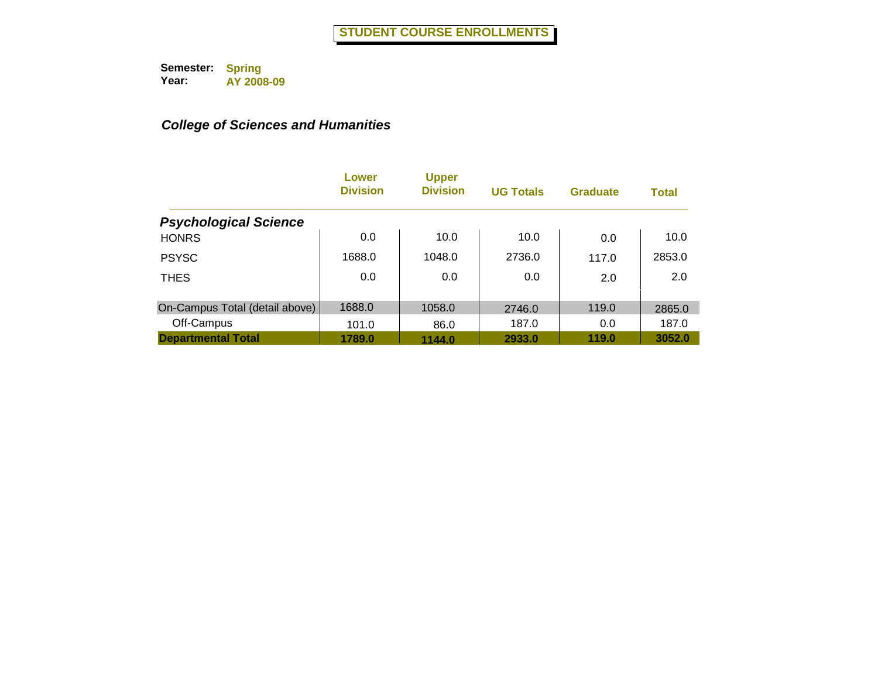|                                | Lower<br><b>Division</b> | <b>Upper</b><br><b>Division</b> | <b>UG Totals</b> | <b>Graduate</b> | <b>Total</b> |
|--------------------------------|--------------------------|---------------------------------|------------------|-----------------|--------------|
| <b>Psychological Science</b>   |                          |                                 |                  |                 |              |
| <b>HONRS</b>                   | 0.0                      | 10.0                            | 10.0             | 0.0             | 10.0         |
| <b>PSYSC</b>                   | 1688.0                   | 1048.0                          | 2736.0           | 117.0           | 2853.0       |
| <b>THES</b>                    | 0.0                      | 0.0                             | 0.0              | 2.0             | 2.0          |
| On-Campus Total (detail above) | 1688.0                   | 1058.0                          | 2746.0           | 119.0           | 2865.0       |
| Off-Campus                     | 101.0                    | 86.0                            | 187.0            | 0.0             | 187.0        |
| <b>Departmental Total</b>      | 1789.0                   | 1144.0                          | 2933.0           | 119.0           | 3052.0       |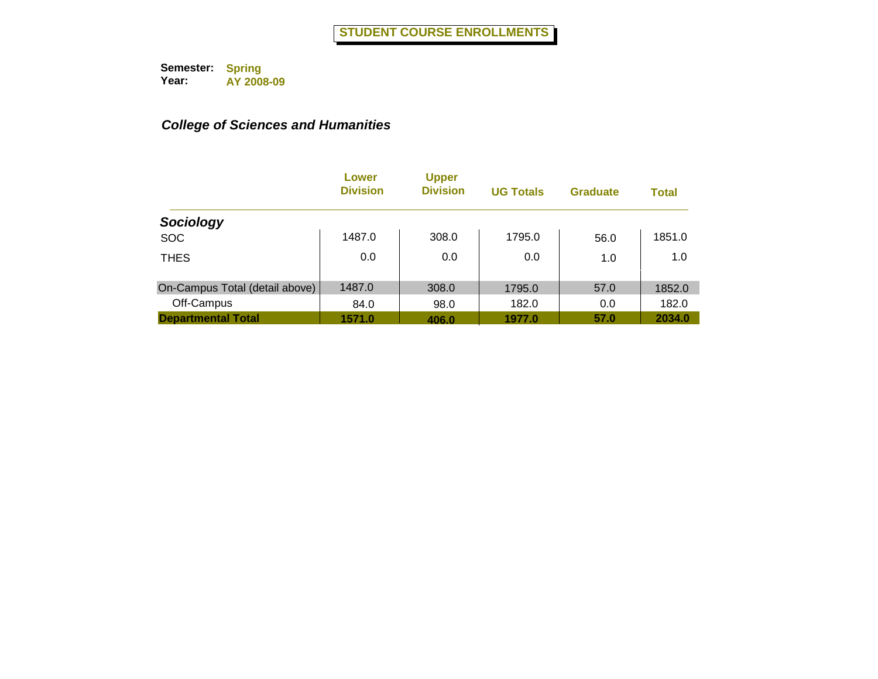|                                | Lower<br><b>Division</b> | <b>Upper</b><br><b>Division</b> | <b>UG Totals</b> | <b>Graduate</b> | <b>Total</b> |
|--------------------------------|--------------------------|---------------------------------|------------------|-----------------|--------------|
| Sociology                      |                          |                                 |                  |                 |              |
| <b>SOC</b>                     | 1487.0                   | 308.0                           | 1795.0           | 56.0            | 1851.0       |
| <b>THES</b>                    | 0.0                      | 0.0                             | 0.0              | 1.0             | 1.0          |
| On-Campus Total (detail above) | 1487.0                   | 308.0                           | 1795.0           | 57.0            | 1852.0       |
| Off-Campus                     | 84.0                     | 98.0                            | 182.0            | 0.0             | 182.0        |
| <b>Departmental Total</b>      | 1571.0                   | 406.0                           | 1977.0           | 57.0            | 2034.0       |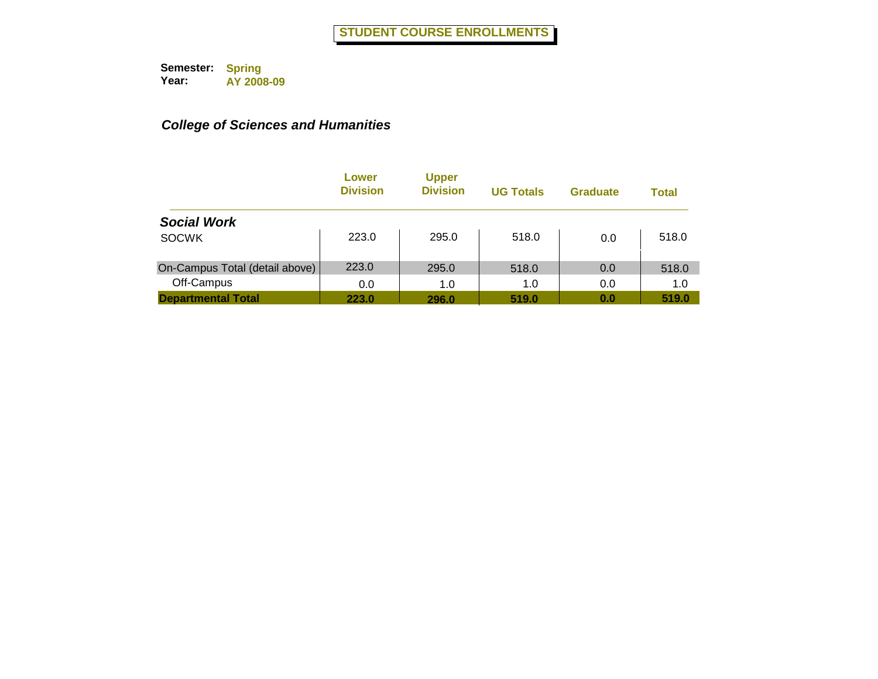|                                | Lower<br><b>Division</b> | <b>Upper</b><br><b>Division</b> | <b>UG Totals</b> | <b>Graduate</b> | <b>Total</b> |
|--------------------------------|--------------------------|---------------------------------|------------------|-----------------|--------------|
| <b>Social Work</b>             |                          |                                 |                  |                 |              |
| <b>SOCWK</b>                   | 223.0                    | 295.0                           | 518.0            | 0.0             | 518.0        |
| On-Campus Total (detail above) | 223.0                    | 295.0                           | 518.0            | 0.0             | 518.0        |
| Off-Campus                     | 0.0                      | 1.0                             | 1.0              | 0.0             | 1.0          |
| <b>Departmental Total</b>      | 223.0                    | 296.0                           | 519.0            | 0.0             | 519.0        |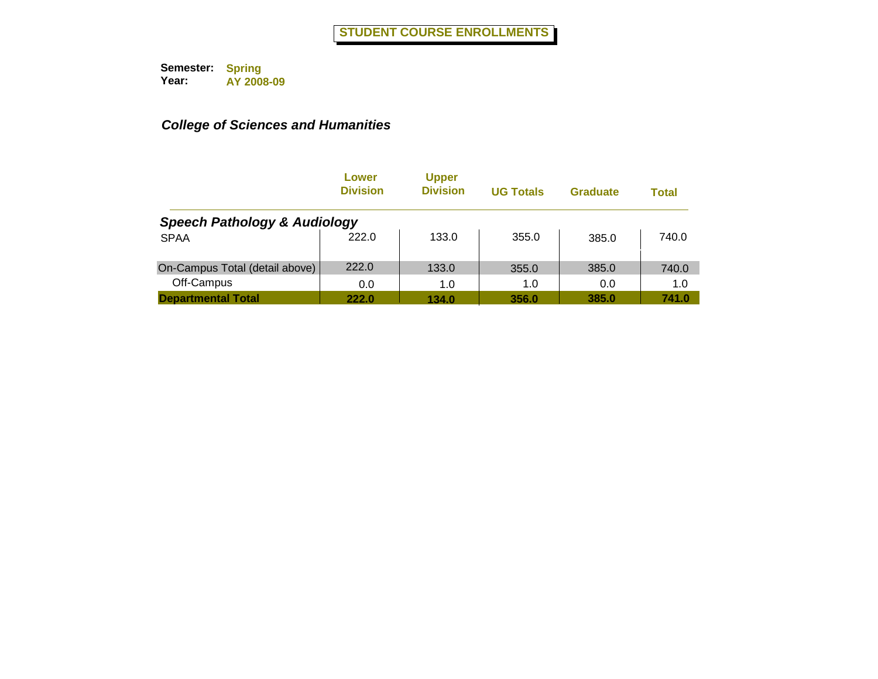|                                         | Lower<br><b>Division</b> | <b>Upper</b><br><b>Division</b> | <b>UG Totals</b> | <b>Graduate</b> | <b>Total</b> |
|-----------------------------------------|--------------------------|---------------------------------|------------------|-----------------|--------------|
| <b>Speech Pathology &amp; Audiology</b> |                          |                                 |                  |                 |              |
| <b>SPAA</b>                             | 222.0                    | 133.0                           | 355.0            | 385.0           | 740.0        |
| On-Campus Total (detail above)          | 222.0                    | 133.0                           | 355.0            | 385.0           | 740.0        |
| Off-Campus                              | 0.0                      | 1.0                             | 1.0              | 0.0             | 1.0          |
| <b>Departmental Total</b>               | 222.0                    | 134.0                           | 356.0            | 385.0           | 741.0        |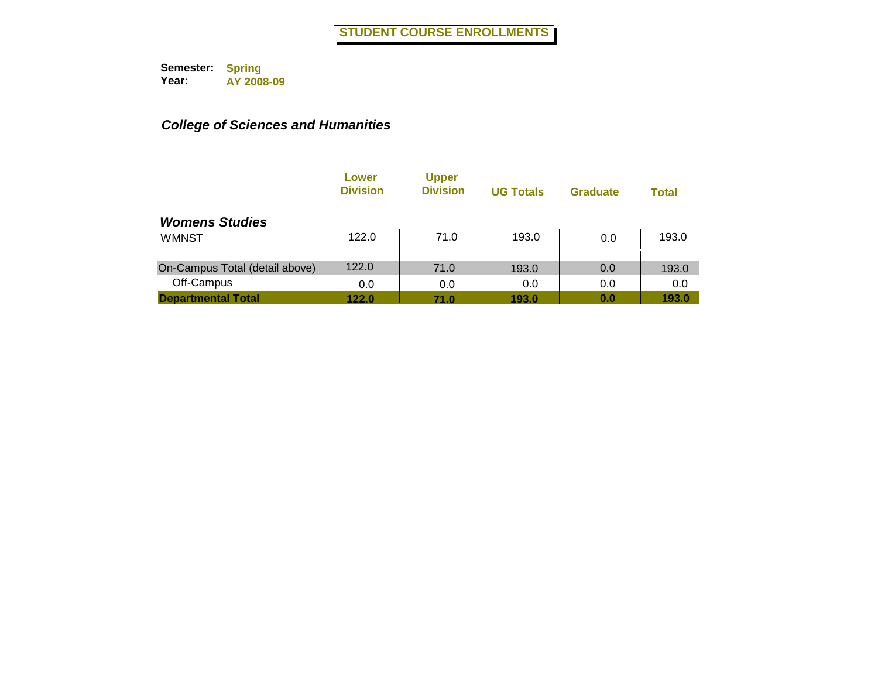|                                | Lower<br><b>Division</b> | <b>Upper</b><br><b>Division</b> | <b>UG Totals</b> | <b>Graduate</b> | <b>Total</b> |
|--------------------------------|--------------------------|---------------------------------|------------------|-----------------|--------------|
| <b>Womens Studies</b>          |                          |                                 |                  |                 |              |
| <b>WMNST</b>                   | 122.0                    | 71.0                            | 193.0            | 0.0             | 193.0        |
| On-Campus Total (detail above) | 122.0                    | 71.0                            | 193.0            | 0.0             | 193.0        |
| Off-Campus                     | 0.0                      | 0.0                             | 0.0              | 0.0             | 0.0          |
| <b>Departmental Total</b>      | 122.0                    | 71.0                            | 193.0            | 0.0             | 193.0        |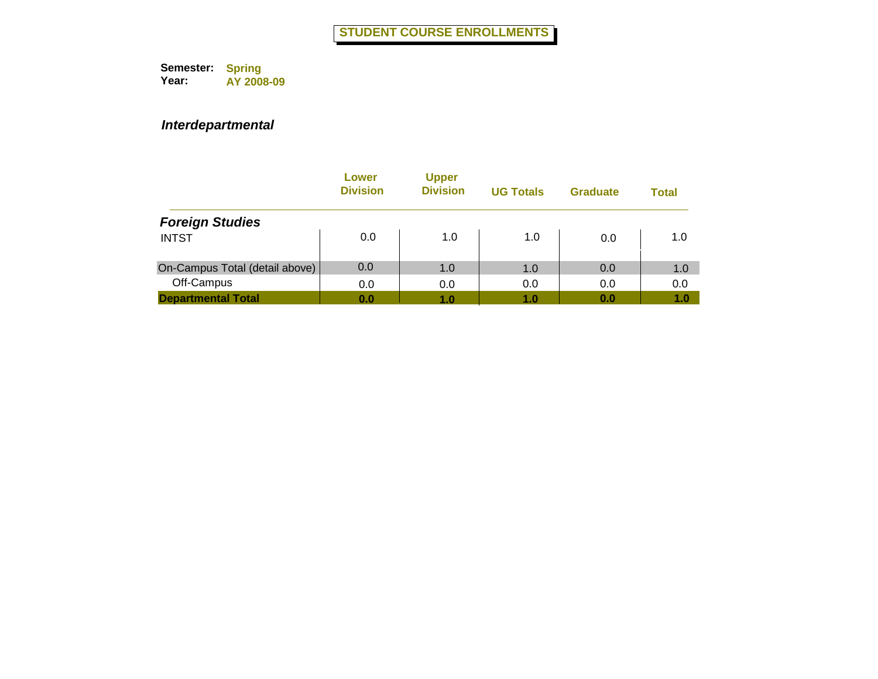|                                | Lower<br><b>Division</b> | <b>Upper</b><br><b>Division</b> | <b>UG Totals</b> | <b>Graduate</b> | <b>Total</b> |
|--------------------------------|--------------------------|---------------------------------|------------------|-----------------|--------------|
| <b>Foreign Studies</b>         |                          |                                 |                  |                 |              |
| <b>INTST</b>                   | 0.0                      | 1.0                             | 1.0              | 0.0             | 1.0          |
| On-Campus Total (detail above) | 0.0                      | 1.0                             | 1.0              | 0.0             | 1.0          |
| Off-Campus                     | 0.0                      | 0.0                             | 0.0              | 0.0             | 0.0          |
| <b>Departmental Total</b>      | 0.0                      | 1.0                             | 1.0              | 0.0             | 1.0          |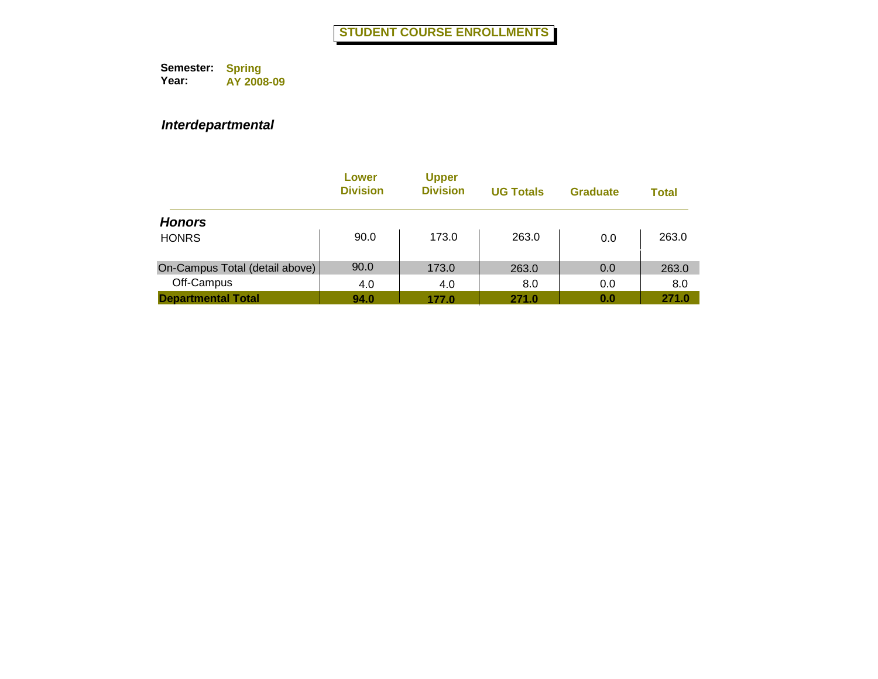|                                | Lower<br><b>Division</b> | <b>Upper</b><br><b>Division</b> | <b>UG Totals</b> | <b>Graduate</b> | Total |
|--------------------------------|--------------------------|---------------------------------|------------------|-----------------|-------|
| <b>Honors</b>                  |                          |                                 |                  |                 |       |
| <b>HONRS</b>                   | 90.0                     | 173.0                           | 263.0            | 0.0             | 263.0 |
| On-Campus Total (detail above) | 90.0                     | 173.0                           | 263.0            | 0.0             | 263.0 |
| Off-Campus                     | 4.0                      | 4.0                             | 8.0              | 0.0             | 8.0   |
| <b>Departmental Total</b>      | 94.0                     | 177.0                           | 271.0            | 0.0             | 271.0 |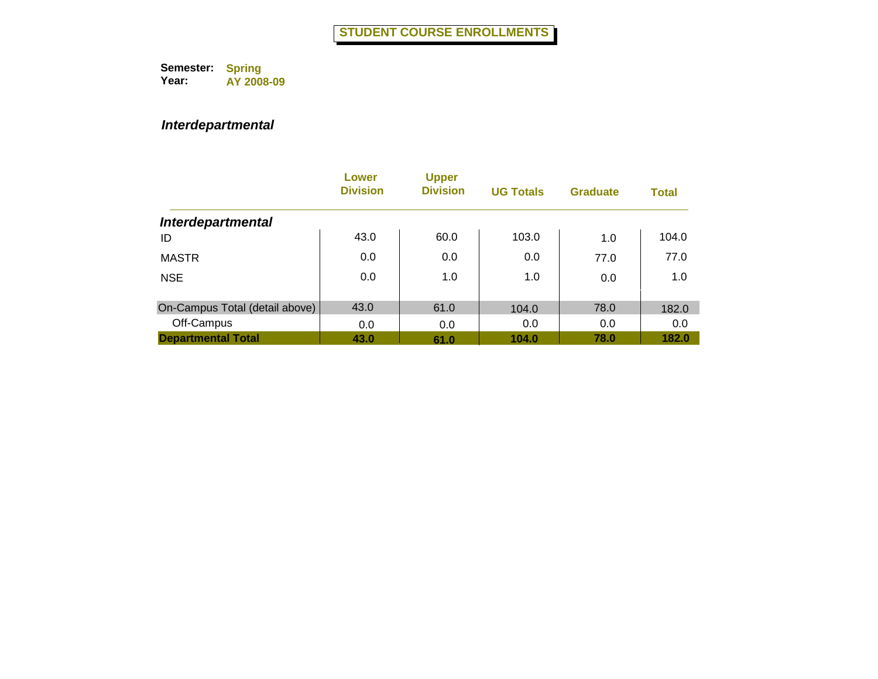|                                | Lower<br><b>Division</b> | <b>Upper</b><br><b>Division</b> | <b>UG Totals</b> | <b>Graduate</b> | <b>Total</b> |
|--------------------------------|--------------------------|---------------------------------|------------------|-----------------|--------------|
| <b>Interdepartmental</b>       |                          |                                 |                  |                 |              |
| ID                             | 43.0                     | 60.0                            | 103.0            | 1.0             | 104.0        |
| <b>MASTR</b>                   | 0.0                      | 0.0                             | 0.0              | 77.0            | 77.0         |
| <b>NSE</b>                     | 0.0                      | 1.0                             | 1.0              | 0.0             | 1.0          |
| On-Campus Total (detail above) | 43.0                     | 61.0                            | 104.0            | 78.0            | 182.0        |
| Off-Campus                     | 0.0                      | 0.0                             | 0.0              | 0.0             | 0.0          |
| <b>Departmental Total</b>      | 43.0                     | 61.0                            | 104.0            | 78.0            | 182.0        |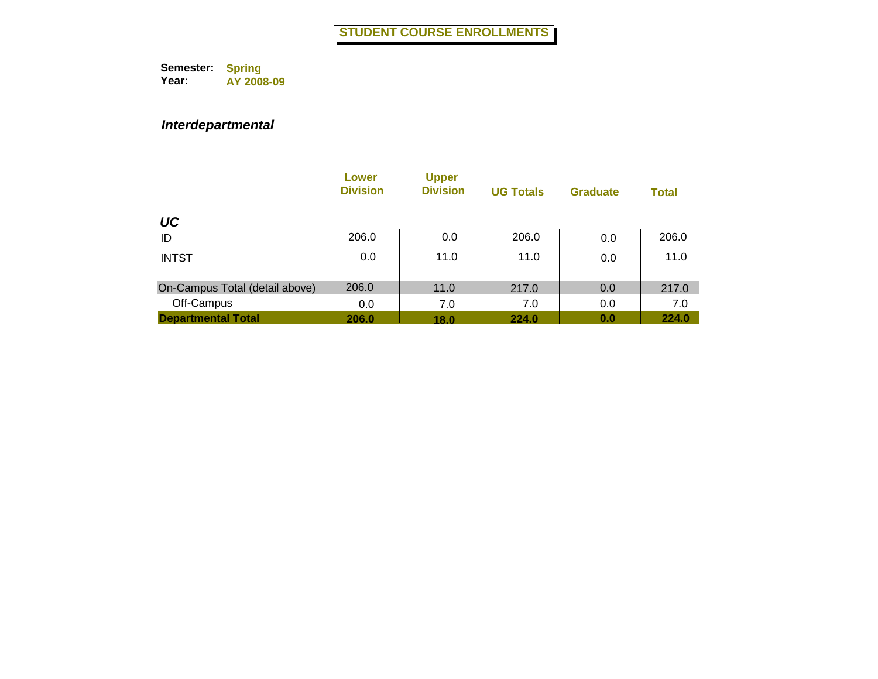|                                | Lower<br><b>Division</b> | <b>Upper</b><br><b>Division</b> | <b>UG Totals</b> | <b>Graduate</b> | <b>Total</b> |
|--------------------------------|--------------------------|---------------------------------|------------------|-----------------|--------------|
| UC                             |                          |                                 |                  |                 |              |
| ID                             | 206.0                    | 0.0                             | 206.0            | 0.0             | 206.0        |
| <b>INTST</b>                   | 0.0                      | 11.0                            | 11.0             | 0.0             | 11.0         |
| On-Campus Total (detail above) | 206.0                    | 11.0                            | 217.0            | 0.0             | 217.0        |
| Off-Campus                     | 0.0                      | 7.0                             | 7.0              | 0.0             | 7.0          |
| <b>Departmental Total</b>      | 206.0                    | 18.0                            | 224.0            | 0.0             | 224.0        |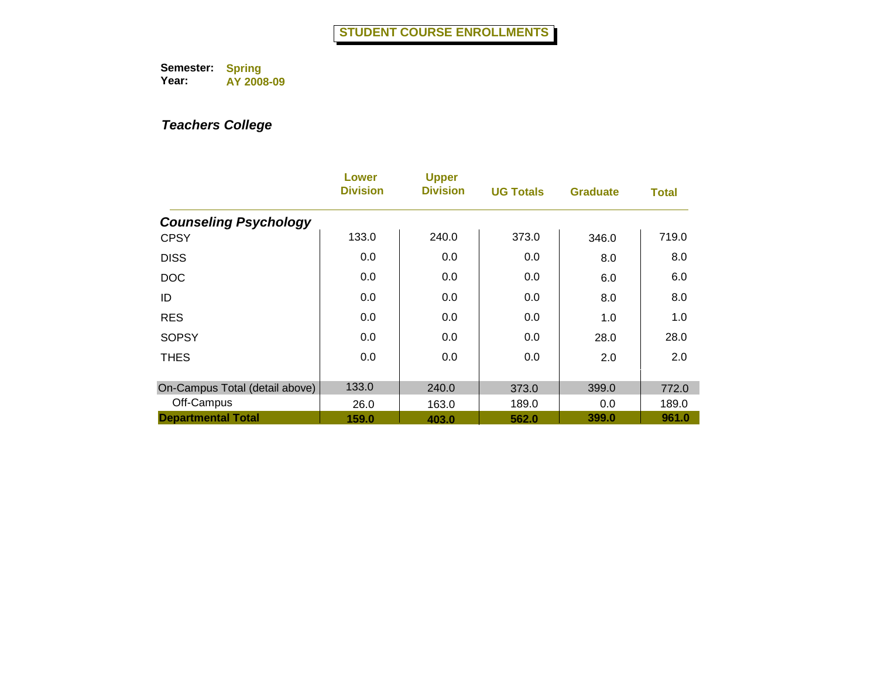|                                | Lower<br><b>Division</b> | <b>Upper</b><br><b>Division</b> | <b>UG Totals</b> | <b>Graduate</b> | <b>Total</b> |
|--------------------------------|--------------------------|---------------------------------|------------------|-----------------|--------------|
| <b>Counseling Psychology</b>   |                          |                                 |                  |                 |              |
| <b>CPSY</b>                    | 133.0                    | 240.0                           | 373.0            | 346.0           | 719.0        |
| <b>DISS</b>                    | 0.0                      | 0.0                             | 0.0              | 8.0             | 8.0          |
| <b>DOC</b>                     | 0.0                      | 0.0                             | 0.0              | 6.0             | 6.0          |
| ID                             | 0.0                      | 0.0                             | 0.0              | 8.0             | 8.0          |
| <b>RES</b>                     | 0.0                      | 0.0                             | 0.0              | 1.0             | 1.0          |
| <b>SOPSY</b>                   | 0.0                      | 0.0                             | 0.0              | 28.0            | 28.0         |
| <b>THES</b>                    | 0.0                      | 0.0                             | 0.0              | 2.0             | 2.0          |
| On-Campus Total (detail above) | 133.0                    | 240.0                           | 373.0            | 399.0           | 772.0        |
| Off-Campus                     | 26.0                     | 163.0                           | 189.0            | 0.0             | 189.0        |
| <b>Departmental Total</b>      | 159.0                    | 403.0                           | 562.0            | 399.0           | 961.0        |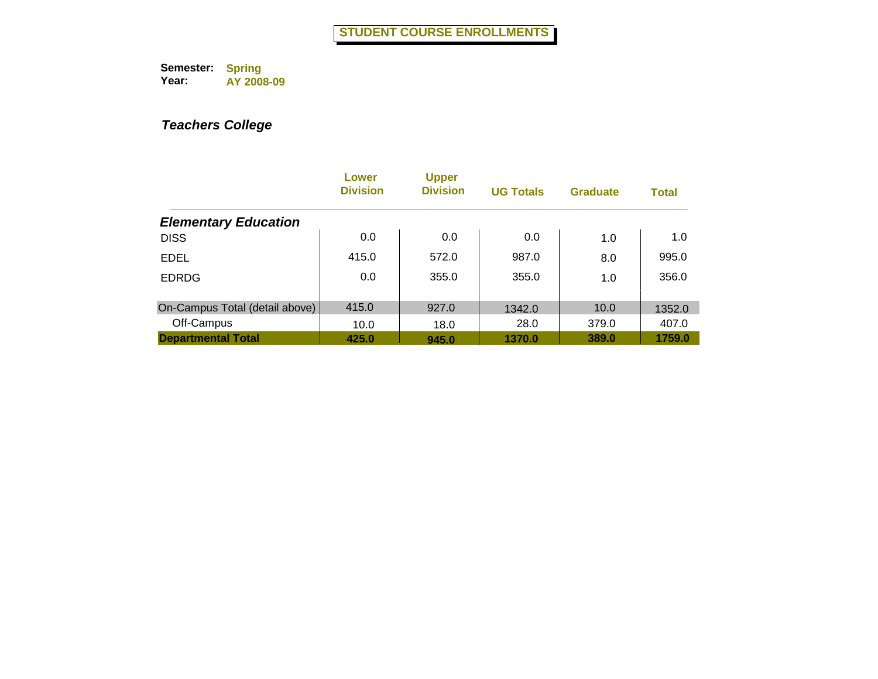|                                | Lower<br><b>Division</b> | <b>Upper</b><br><b>Division</b> | <b>UG Totals</b> | <b>Graduate</b> | <b>Total</b> |
|--------------------------------|--------------------------|---------------------------------|------------------|-----------------|--------------|
| <b>Elementary Education</b>    |                          |                                 |                  |                 |              |
| <b>DISS</b>                    | 0.0                      | 0.0                             | 0.0              | 1.0             | 1.0          |
| <b>EDEL</b>                    | 415.0                    | 572.0                           | 987.0            | 8.0             | 995.0        |
| <b>EDRDG</b>                   | 0.0                      | 355.0                           | 355.0            | 1.0             | 356.0        |
| On-Campus Total (detail above) | 415.0                    | 927.0                           | 1342.0           | 10.0            | 1352.0       |
| Off-Campus                     | 10.0                     | 18.0                            | 28.0             | 379.0           | 407.0        |
| <b>Departmental Total</b>      | 425.0                    | 945.0                           | 1370.0           | 389.0           | 1759.0       |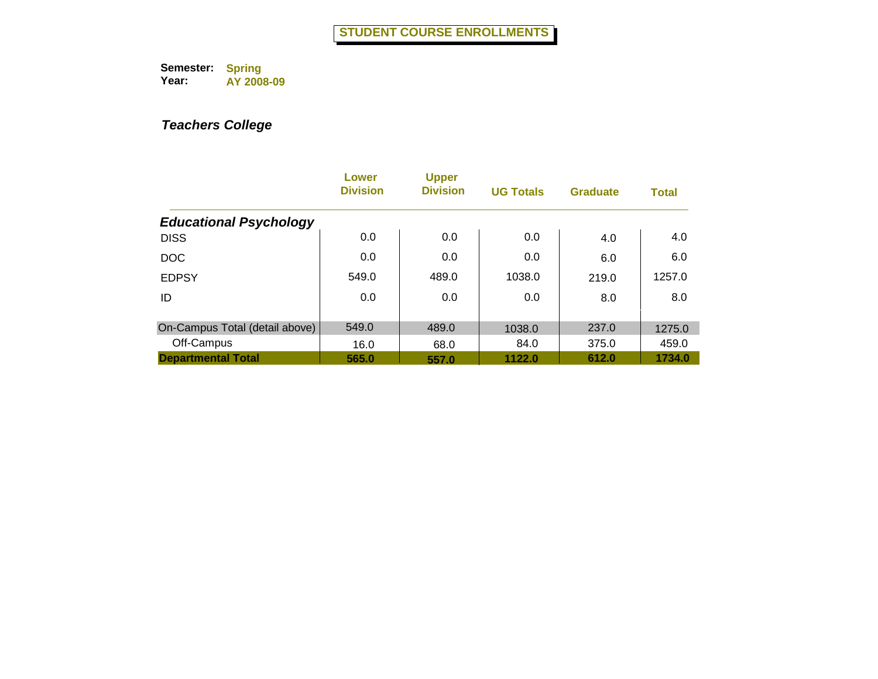|                                | Lower<br><b>Division</b> | <b>Upper</b><br><b>Division</b> | <b>UG Totals</b> | <b>Graduate</b> | <b>Total</b> |
|--------------------------------|--------------------------|---------------------------------|------------------|-----------------|--------------|
| <b>Educational Psychology</b>  |                          |                                 |                  |                 |              |
| <b>DISS</b>                    | 0.0                      | 0.0                             | 0.0              | 4.0             | 4.0          |
| <b>DOC</b>                     | 0.0                      | 0.0                             | 0.0              | 6.0             | 6.0          |
| <b>EDPSY</b>                   | 549.0                    | 489.0                           | 1038.0           | 219.0           | 1257.0       |
| ID                             | 0.0                      | 0.0                             | 0.0              | 8.0             | 8.0          |
|                                |                          |                                 |                  |                 |              |
| On-Campus Total (detail above) | 549.0                    | 489.0                           | 1038.0           | 237.0           | 1275.0       |
| Off-Campus                     | 16.0                     | 68.0                            | 84.0             | 375.0           | 459.0        |
| <b>Departmental Total</b>      | 565.0                    | 557.0                           | 1122.0           | 612.0           | 1734.0       |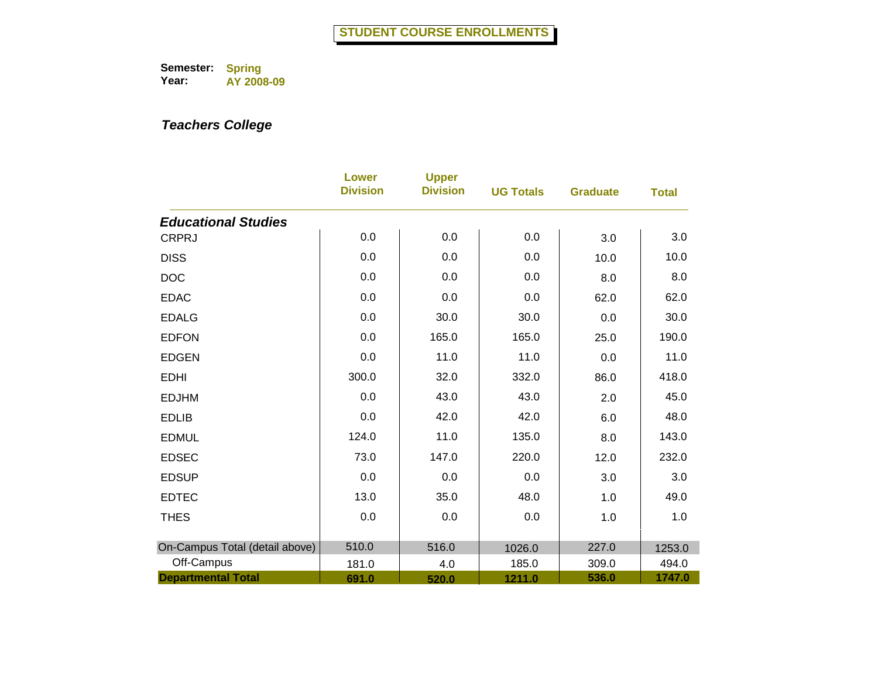|                                | <b>Lower</b><br><b>Division</b> | <b>Upper</b><br><b>Division</b> | <b>UG Totals</b> | <b>Graduate</b> | <b>Total</b> |
|--------------------------------|---------------------------------|---------------------------------|------------------|-----------------|--------------|
| <b>Educational Studies</b>     |                                 |                                 |                  |                 |              |
| <b>CRPRJ</b>                   | 0.0                             | 0.0                             | 0.0              | 3.0             | 3.0          |
| <b>DISS</b>                    | 0.0                             | 0.0                             | 0.0              | 10.0            | 10.0         |
| <b>DOC</b>                     | 0.0                             | 0.0                             | 0.0              | 8.0             | 8.0          |
| <b>EDAC</b>                    | 0.0                             | 0.0                             | $0.0\,$          | 62.0            | 62.0         |
| <b>EDALG</b>                   | 0.0                             | 30.0                            | 30.0             | 0.0             | 30.0         |
| <b>EDFON</b>                   | 0.0                             | 165.0                           | 165.0            | 25.0            | 190.0        |
| <b>EDGEN</b>                   | 0.0                             | 11.0                            | 11.0             | 0.0             | 11.0         |
| <b>EDHI</b>                    | 300.0                           | 32.0                            | 332.0            | 86.0            | 418.0        |
| <b>EDJHM</b>                   | 0.0                             | 43.0                            | 43.0             | 2.0             | 45.0         |
| <b>EDLIB</b>                   | 0.0                             | 42.0                            | 42.0             | 6.0             | 48.0         |
| <b>EDMUL</b>                   | 124.0                           | 11.0                            | 135.0            | 8.0             | 143.0        |
| <b>EDSEC</b>                   | 73.0                            | 147.0                           | 220.0            | 12.0            | 232.0        |
| <b>EDSUP</b>                   | 0.0                             | 0.0                             | 0.0              | 3.0             | 3.0          |
| <b>EDTEC</b>                   | 13.0                            | 35.0                            | 48.0             | 1.0             | 49.0         |
| <b>THES</b>                    | 0.0                             | 0.0                             | 0.0              | 1.0             | 1.0          |
| On-Campus Total (detail above) | 510.0                           | 516.0                           | 1026.0           | 227.0           | 1253.0       |
| Off-Campus                     | 181.0                           | 4.0                             | 185.0            | 309.0           | 494.0        |
| <b>Departmental Total</b>      | 691.0                           | 520.0                           | 1211.0           | 536.0           | 1747.0       |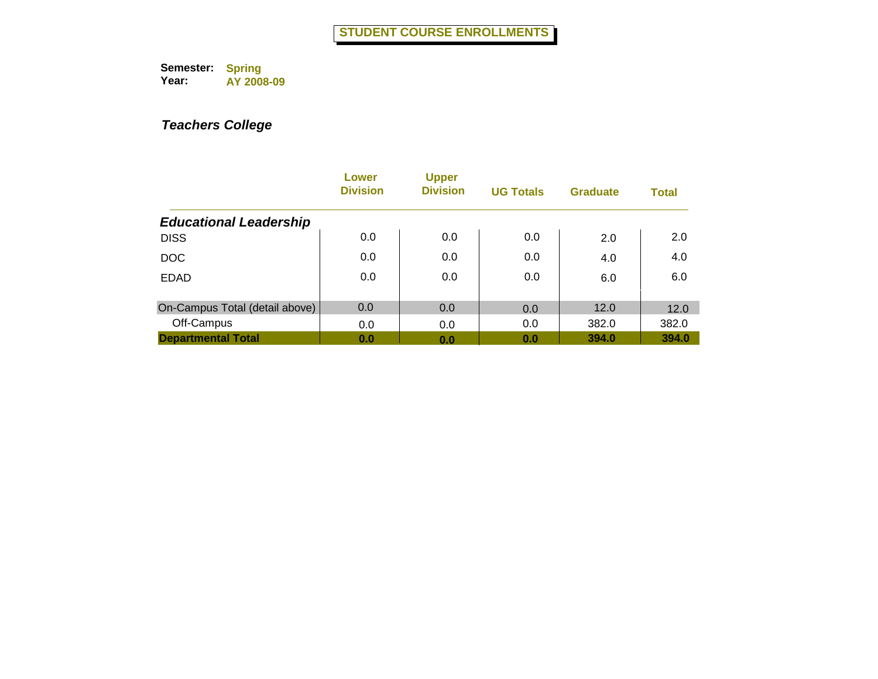|                                | Lower<br><b>Division</b> | <b>Upper</b><br><b>Division</b> | <b>UG Totals</b> | <b>Graduate</b> | <b>Total</b> |
|--------------------------------|--------------------------|---------------------------------|------------------|-----------------|--------------|
| <b>Educational Leadership</b>  |                          |                                 |                  |                 |              |
| <b>DISS</b>                    | 0.0                      | 0.0                             | 0.0              | 2.0             | 2.0          |
| <b>DOC</b>                     | 0.0                      | 0.0                             | 0.0              | 4.0             | 4.0          |
| <b>EDAD</b>                    | 0.0                      | 0.0                             | 0.0              | 6.0             | 6.0          |
| On-Campus Total (detail above) | 0.0                      | 0.0                             | 0.0              | 12.0            | 12.0         |
| Off-Campus                     | 0.0                      | 0.0                             | 0.0              | 382.0           | 382.0        |
| <b>Departmental Total</b>      | 0.0                      | 0.0                             | 0.0              | 394.0           | 394.0        |